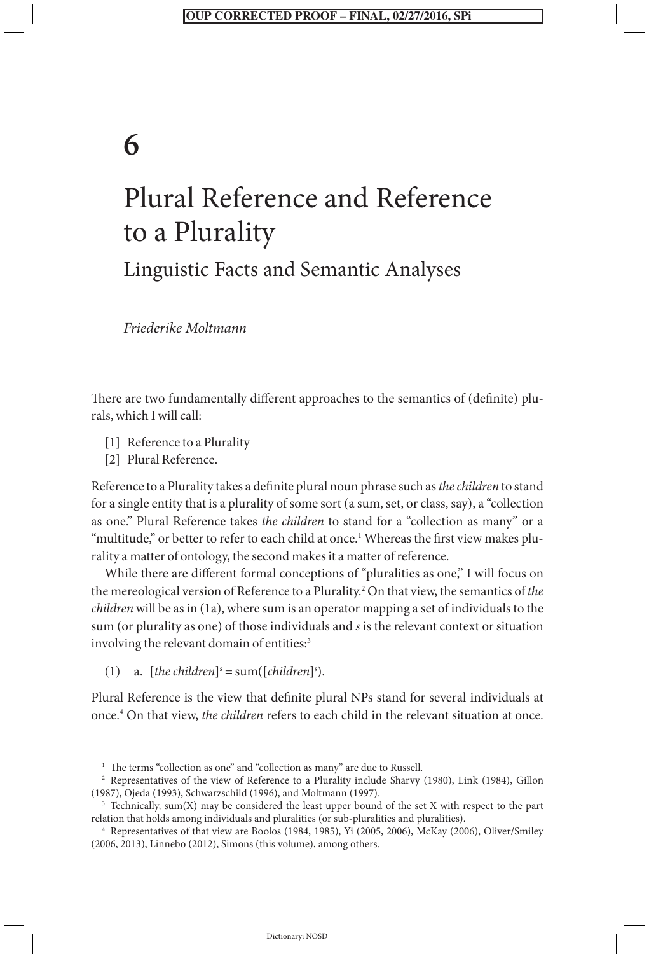# **6**

# Plural Reference and Reference to a Plurality

# Linguistic Facts and Semantic Analyses

*Friederike Moltmann*

There are two fundamentally different approaches to the semantics of (definite) plurals, which I will call:

- [1] Reference to a Plurality
- [2] Plural Reference.

Reference to a Plurality takes a definite plural noun phrase such as *the children* to stand for a single entity that is a plurality of some sort (a sum, set, or class, say), a "collection as one." Plural Reference takes *the children* to stand for a "collection as many" or a "multitude," or better to refer to each child at once.1 Whereas the first view makes plurality a matter of ontology, the second makes it a matter of reference.

While there are different formal conceptions of "pluralities as one," I will focus on the mereological version of Reference to a Plurality.2 On that view, the semantics of *the children* will be as in (1a), where sum is an operator mapping a set of individuals to the sum (or plurality as one) of those individuals and *s* is the relevant context or situation involving the relevant domain of entities:<sup>3</sup>

 $(1)$  a. [*the children*]<sup>s</sup> = sum([*children*]<sup>s</sup>).

Plural Reference is the view that definite plural NPs stand for several individuals at once.4 On that view, *the children* refers to each child in the relevant situation at once.

<sup>&</sup>lt;sup>1</sup> The terms "collection as one" and "collection as many" are due to Russell.

<sup>2</sup> Representatives of the view of Reference to a Plurality include Sharvy (1980), Link (1984), Gillon (1987), Ojeda (1993), Schwarzschild (1996), and Moltmann (1997).

<sup>3</sup> Technically, sum(X) may be considered the least upper bound of the set X with respect to the part relation that holds among individuals and pluralities (or sub-pluralities and pluralities).

<sup>4</sup> Representatives of that view are Boolos (1984, 1985), Yi (2005, 2006), McKay (2006), Oliver/Smiley (2006, 2013), Linnebo (2012), Simons (this volume), among others.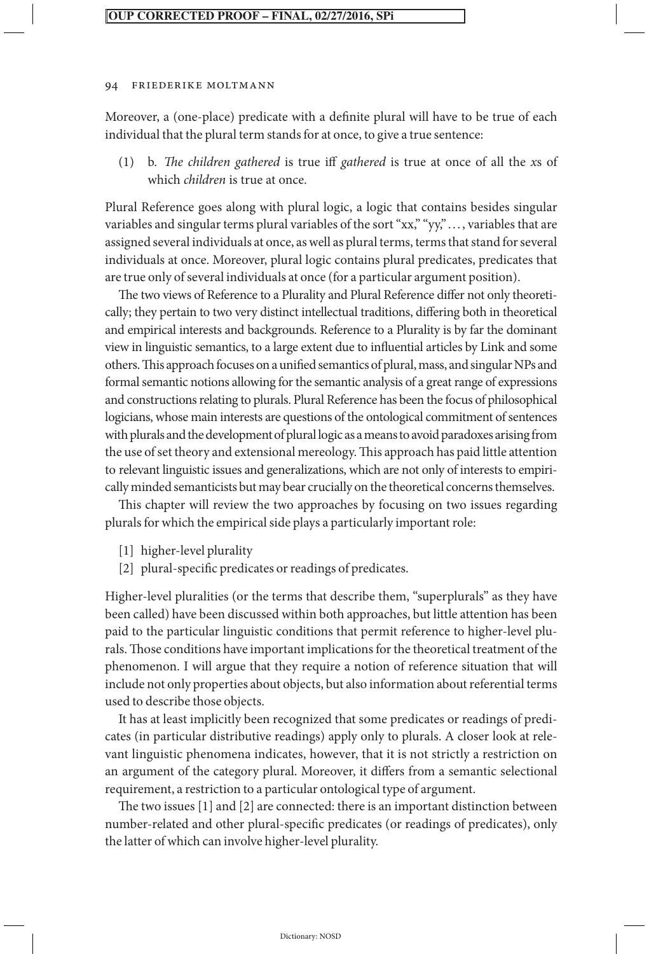Moreover, a (one-place) predicate with a definite plural will have to be true of each individual that the plural term stands for at once, to give a true sentence:

(1) b. *The children gathered* is true iff *gathered* is true at once of all the *x*s of which *children* is true at once.

Plural Reference goes along with plural logic, a logic that contains besides singular variables and singular terms plural variables of the sort "xx," "yy," . . . , variables that are assigned several individuals at once, as well as plural terms, terms that stand for several individuals at once. Moreover, plural logic contains plural predicates, predicates that are true only of several individuals at once (for a particular argument position).

The two views of Reference to a Plurality and Plural Reference differ not only theoretically; they pertain to two very distinct intellectual traditions, differing both in theoretical and empirical interests and backgrounds. Reference to a Plurality is by far the dominant view in linguistic semantics, to a large extent due to influential articles by Link and some others. This approach focuses on a unified semantics of plural, mass, and singular NPs and formal semantic notions allowing for the semantic analysis of a great range of expressions and constructions relating to plurals. Plural Reference has been the focus of philosophical logicians, whose main interests are questions of the ontological commitment of sentences with plurals and the development of plural logic as a means to avoid paradoxes arising from the use of set theory and extensional mereology. This approach has paid little attention to relevant linguistic issues and generalizations, which are not only of interests to empirically minded semanticists but may bear crucially on the theoretical concerns themselves.

This chapter will review the two approaches by focusing on two issues regarding plurals for which the empirical side plays a particularly important role:

- [1] higher-level plurality
- [2] plural-specific predicates or readings of predicates.

Higher-level pluralities (or the terms that describe them, "superplurals" as they have been called) have been discussed within both approaches, but little attention has been paid to the particular linguistic conditions that permit reference to higher-level plurals. Those conditions have important implications for the theoretical treatment of the phenomenon. I will argue that they require a notion of reference situation that will include not only properties about objects, but also information about referential terms used to describe those objects.

It has at least implicitly been recognized that some predicates or readings of predicates (in particular distributive readings) apply only to plurals. A closer look at relevant linguistic phenomena indicates, however, that it is not strictly a restriction on an argument of the category plural. Moreover, it differs from a semantic selectional requirement, a restriction to a particular ontological type of argument.

The two issues [1] and [2] are connected: there is an important distinction between number-related and other plural-specific predicates (or readings of predicates), only the latter of which can involve higher-level plurality.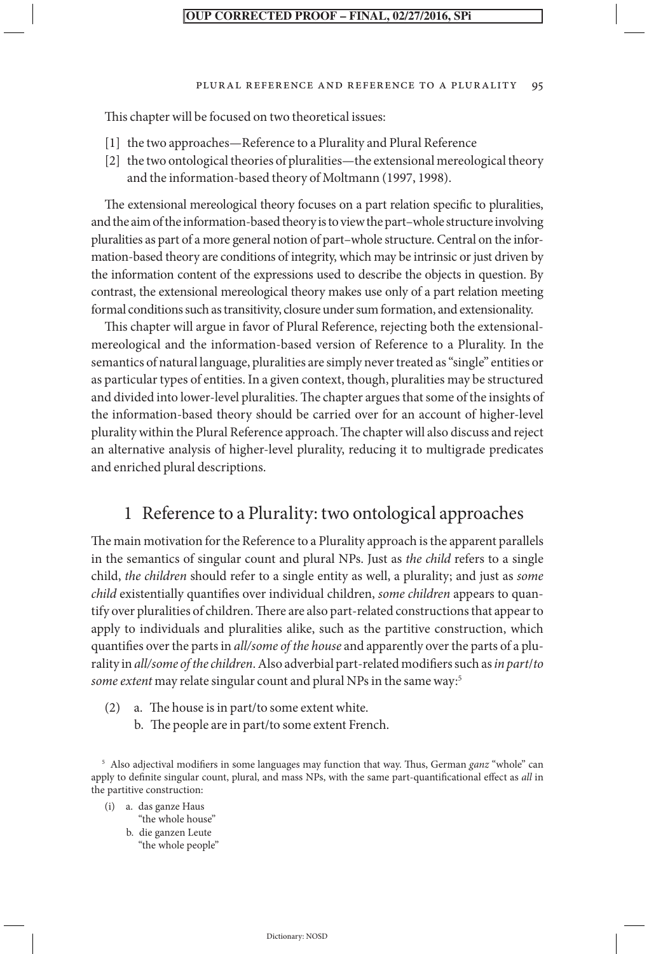#### plural reference and reference to a plurality 95

This chapter will be focused on two theoretical issues:

- [1] the two approaches—Reference to a Plurality and Plural Reference
- [2] the two ontological theories of pluralities—the extensional mereological theory and the information-based theory of Moltmann (1997, 1998).

The extensional mereological theory focuses on a part relation specific to pluralities, and the aim of the information-based theory is to view the part–whole structure involving pluralities as part of a more general notion of part–whole structure. Central on the information-based theory are conditions of integrity, which may be intrinsic or just driven by the information content of the expressions used to describe the objects in question. By contrast, the extensional mereological theory makes use only of a part relation meeting formal conditions such as transitivity, closure under sum formation, and extensionality.

This chapter will argue in favor of Plural Reference, rejecting both the extensionalmereological and the information-based version of Reference to a Plurality. In the semantics of natural language, pluralities are simply never treated as "single" entities or as particular types of entities. In a given context, though, pluralities may be structured and divided into lower-level pluralities. The chapter argues that some of the insights of the information-based theory should be carried over for an account of higher-level plurality within the Plural Reference approach. The chapter will also discuss and reject an alternative analysis of higher-level plurality, reducing it to multigrade predicates and enriched plural descriptions.

# 1 Reference to a Plurality: two ontological approaches

The main motivation for the Reference to a Plurality approach is the apparent parallels in the semantics of singular count and plural NPs. Just as *the child* refers to a single child, *the children* should refer to a single entity as well, a plurality; and just as *some child* existentially quantifies over individual children, *some children* appears to quantify over pluralities of children. There are also part-related constructions that appear to apply to individuals and pluralities alike, such as the partitive construction, which quantifies over the parts in *all/some of the house* and apparently over the parts of a plurality in *all/some of the children*. Also adverbial part-related modifiers such as *in part*/*to some extent* may relate singular count and plural NPs in the same way:5

- (2) a. The house is in part/to some extent white.
	- b. The people are in part/to some extent French.

5 Also adjectival modifiers in some languages may function that way. Thus, German *ganz* "whole" can apply to definite singular count, plural, and mass NPs, with the same part-quantificational effect as *all* in the partitive construction:

- (i) a. das ganze Haus
	- "the whole house"
	- b. die ganzen Leute "the whole people"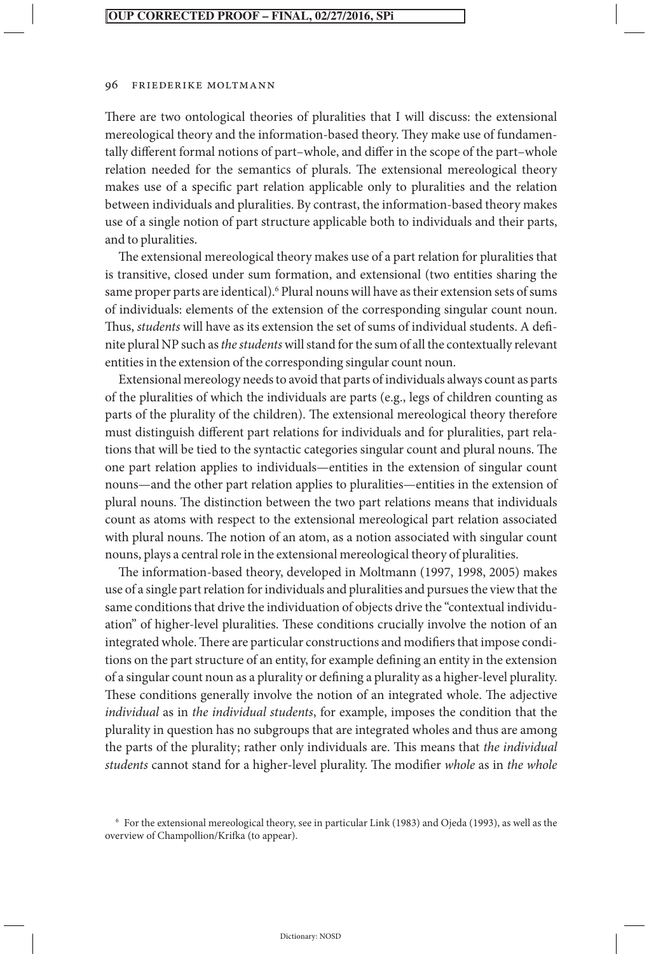There are two ontological theories of pluralities that I will discuss: the extensional mereological theory and the information-based theory. They make use of fundamentally different formal notions of part–whole, and differ in the scope of the part–whole relation needed for the semantics of plurals. The extensional mereological theory makes use of a specific part relation applicable only to pluralities and the relation between individuals and pluralities. By contrast, the information-based theory makes use of a single notion of part structure applicable both to individuals and their parts, and to pluralities.

The extensional mereological theory makes use of a part relation for pluralities that is transitive, closed under sum formation, and extensional (two entities sharing the same proper parts are identical).<sup>6</sup> Plural nouns will have as their extension sets of sums of individuals: elements of the extension of the corresponding singular count noun. Thus, *students* will have as its extension the set of sums of individual students. A definite plural NP such as *the students* will stand for the sum of all the contextually relevant entities in the extension of the corresponding singular count noun.

Extensional mereology needs to avoid that parts of individuals always count as parts of the pluralities of which the individuals are parts (e.g., legs of children counting as parts of the plurality of the children). The extensional mereological theory therefore must distinguish different part relations for individuals and for pluralities, part relations that will be tied to the syntactic categories singular count and plural nouns. The one part relation applies to individuals—entities in the extension of singular count nouns—and the other part relation applies to pluralities—entities in the extension of plural nouns. The distinction between the two part relations means that individuals count as atoms with respect to the extensional mereological part relation associated with plural nouns. The notion of an atom, as a notion associated with singular count nouns, plays a central role in the extensional mereological theory of pluralities.

The information-based theory, developed in Moltmann (1997, 1998, 2005) makes use of a single part relation for individuals and pluralities and pursues the view that the same conditions that drive the individuation of objects drive the "contextual individuation" of higher-level pluralities. These conditions crucially involve the notion of an integrated whole. There are particular constructions and modifiers that impose conditions on the part structure of an entity, for example defining an entity in the extension of a singular count noun as a plurality or defining a plurality as a higher-level plurality. These conditions generally involve the notion of an integrated whole. The adjective *individual* as in *the individual students*, for example, imposes the condition that the plurality in question has no subgroups that are integrated wholes and thus are among the parts of the plurality; rather only individuals are. This means that *the individual students* cannot stand for a higher-level plurality. The modifier *whole* as in *the whole* 

<sup>6</sup> For the extensional mereological theory, see in particular Link (1983) and Ojeda (1993), as well as the overview of Champollion/Krifka (to appear).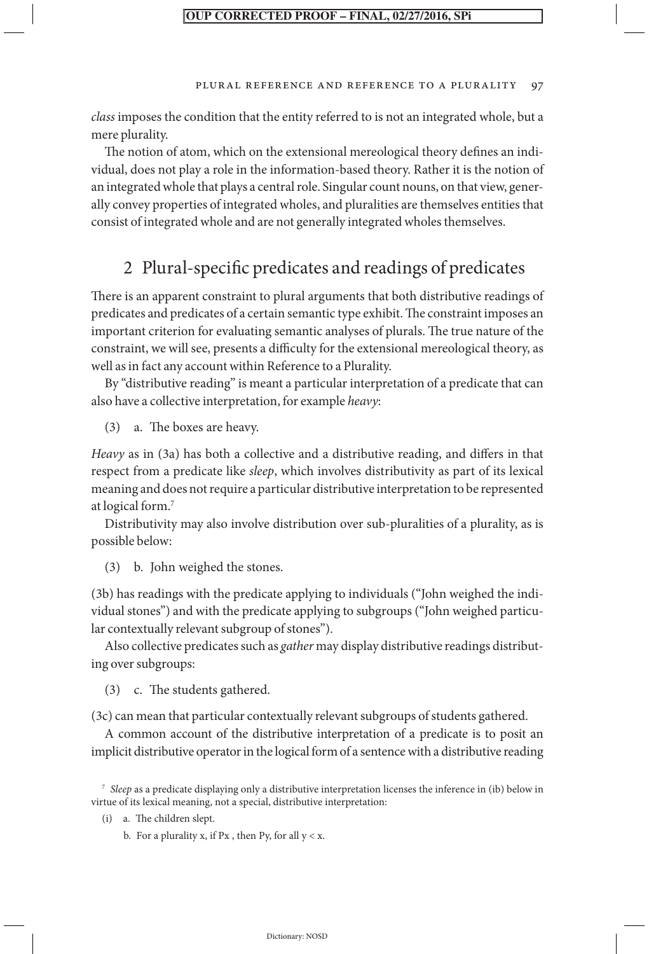#### plural reference and reference to a plurality 97

*class* imposes the condition that the entity referred to is not an integrated whole, but a mere plurality.

The notion of atom, which on the extensional mereological theory defines an individual, does not play a role in the information-based theory. Rather it is the notion of an integrated whole that plays a central role. Singular count nouns, on that view, generally convey properties of integrated wholes, and pluralities are themselves entities that consist of integrated whole and are not generally integrated wholes themselves.

# 2 Plural-specific predicates and readings of predicates

There is an apparent constraint to plural arguments that both distributive readings of predicates and predicates of a certain semantic type exhibit. The constraint imposes an important criterion for evaluating semantic analyses of plurals. The true nature of the constraint, we will see, presents a difficulty for the extensional mereological theory, as well as in fact any account within Reference to a Plurality.

By "distributive reading" is meant a particular interpretation of a predicate that can also have a collective interpretation, for example *heavy*:

(3) a. The boxes are heavy.

*Heavy* as in (3a) has both a collective and a distributive reading, and differs in that respect from a predicate like *sleep*, which involves distributivity as part of its lexical meaning and does not require a particular distributive interpretation to be represented at logical form.7

Distributivity may also involve distribution over sub-pluralities of a plurality, as is possible below:

(3) b. John weighed the stones.

(3b) has readings with the predicate applying to individuals ("John weighed the individual stones") and with the predicate applying to subgroups ("John weighed particular contextually relevant subgroup of stones").

Also collective predicates such as *gather* may display distributive readings distributing over subgroups:

(3) c. The students gathered.

(3c) can mean that particular contextually relevant subgroups of students gathered.

A common account of the distributive interpretation of a predicate is to posit an implicit distributive operator in the logical form of a sentence with a distributive reading

<sup>7</sup> *Sleep* as a predicate displaying only a distributive interpretation licenses the inference in (ib) below in virtue of its lexical meaning, not a special, distributive interpretation:

<sup>(</sup>i) a. The children slept.

b. For a plurality x, if  $Px$ , then Py, for all  $y < x$ .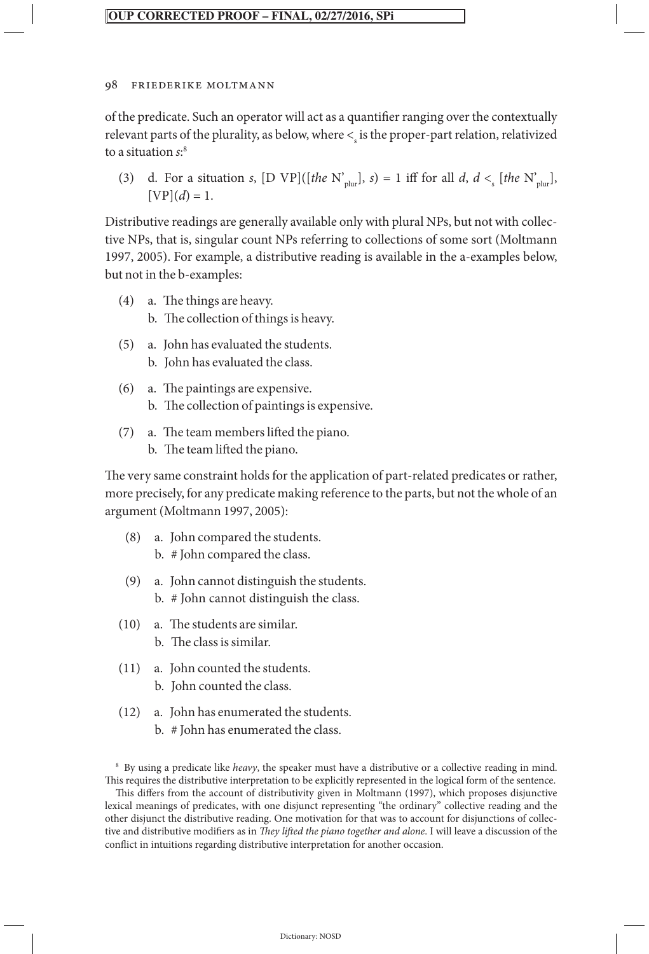#### 98 Friederike Moltmann

of the predicate. Such an operator will act as a quantifier ranging over the contextually relevant parts of the plurality, as below, where  $\lt_{\text{\tiny S}}$  is the proper-part relation, relativized to a situation *s*: 8

(3) d. For a situation *s*,  $[D VP] ([the N'_{\text{pur}}], s) = 1$  iff for all *d*,  $d <_{\text{s}} [the N'_{\text{pur}}],$  $[VP](d) = 1.$ 

Distributive readings are generally available only with plural NPs, but not with collective NPs, that is, singular count NPs referring to collections of some sort (Moltmann 1997, 2005). For example, a distributive reading is available in the a-examples below, but not in the b-examples:

- (4) a. The things are heavy.
	- b. The collection of things is heavy.
- (5) a. John has evaluated the students. b. John has evaluated the class.
- (6) a. The paintings are expensive. b. The collection of paintings is expensive.
- (7) a. The team members lifted the piano.
	- b. The team lifted the piano.

The very same constraint holds for the application of part-related predicates or rather, more precisely, for any predicate making reference to the parts, but not the whole of an argument (Moltmann 1997, 2005):

- (8) a. John compared the students.
	- b. # John compared the class.
- (9) a. John cannot distinguish the students. b. # John cannot distinguish the class.
- (10) a. The students are similar. b. The class is similar.
- (11) a. John counted the students. b. John counted the class.
- (12) a. John has enumerated the students.
	- b. # John has enumerated the class.

<sup>8</sup> By using a predicate like *heavy*, the speaker must have a distributive or a collective reading in mind. This requires the distributive interpretation to be explicitly represented in the logical form of the sentence.

This differs from the account of distributivity given in Moltmann (1997), which proposes disjunctive lexical meanings of predicates, with one disjunct representing "the ordinary" collective reading and the other disjunct the distributive reading. One motivation for that was to account for disjunctions of collective and distributive modifiers as in *They lifted the piano together and alone*. I will leave a discussion of the conflict in intuitions regarding distributive interpretation for another occasion.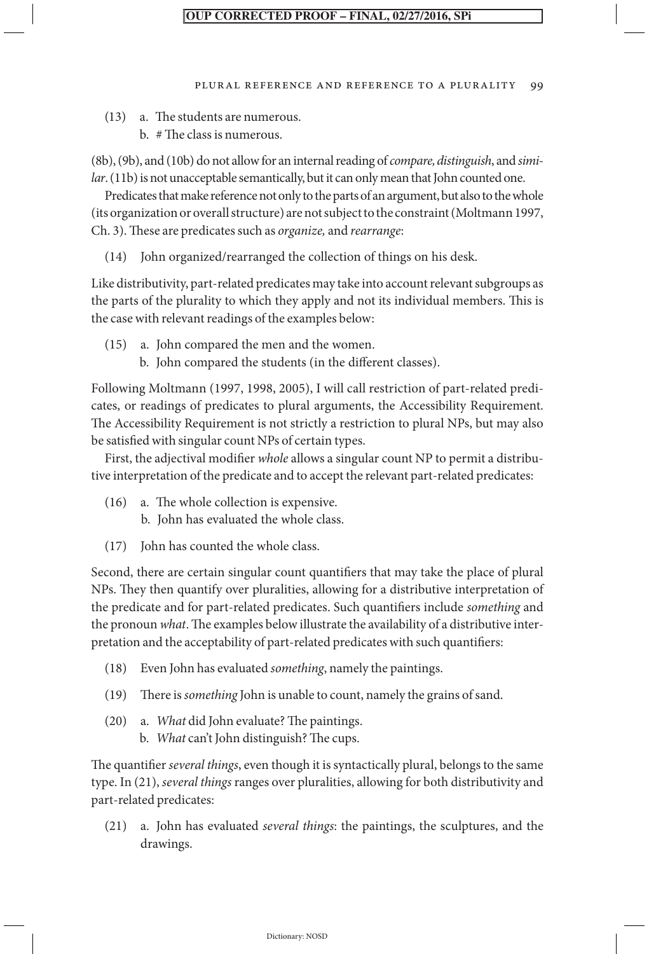#### plural reference and reference to a plurality 99

- (13) a. The students are numerous.
	- b. # The class is numerous.

(8b), (9b), and (10b) do not allow for an internal reading of *compare, distinguish*, and *similar*. (11b) is not unacceptable semantically, but it can only mean that John counted one.

Predicates that make reference not only to the parts of an argument, but also to the whole (its organization or overall structure) are not subject to the constraint (Moltmann 1997, Ch. 3). These are predicates such as *organize,* and *rearrange*:

(14) John organized/rearranged the collection of things on his desk.

Like distributivity, part-related predicates may take into account relevant subgroups as the parts of the plurality to which they apply and not its individual members. This is the case with relevant readings of the examples below:

- (15) a. John compared the men and the women.
	- b. John compared the students (in the different classes).

Following Moltmann (1997, 1998, 2005), I will call restriction of part-related predicates, or readings of predicates to plural arguments, the Accessibility Requirement. The Accessibility Requirement is not strictly a restriction to plural NPs, but may also be satisfied with singular count NPs of certain types.

First, the adjectival modifier *whole* allows a singular count NP to permit a distributive interpretation of the predicate and to accept the relevant part-related predicates:

- (16) a. The whole collection is expensive. b. John has evaluated the whole class.
- (17) John has counted the whole class.

Second, there are certain singular count quantifiers that may take the place of plural NPs. They then quantify over pluralities, allowing for a distributive interpretation of the predicate and for part-related predicates. Such quantifiers include *something* and the pronoun *what*. The examples below illustrate the availability of a distributive interpretation and the acceptability of part-related predicates with such quantifiers:

- (18) Even John has evaluated *something*, namely the paintings.
- (19) There is *something* John is unable to count, namely the grains of sand.
- (20) a. *What* did John evaluate? The paintings.
	- b. *What* can't John distinguish? The cups.

The quantifier *several things*, even though it is syntactically plural, belongs to the same type. In (21), *several things* ranges over pluralities, allowing for both distributivity and part-related predicates:

(21) a. John has evaluated *several things*: the paintings, the sculptures, and the drawings.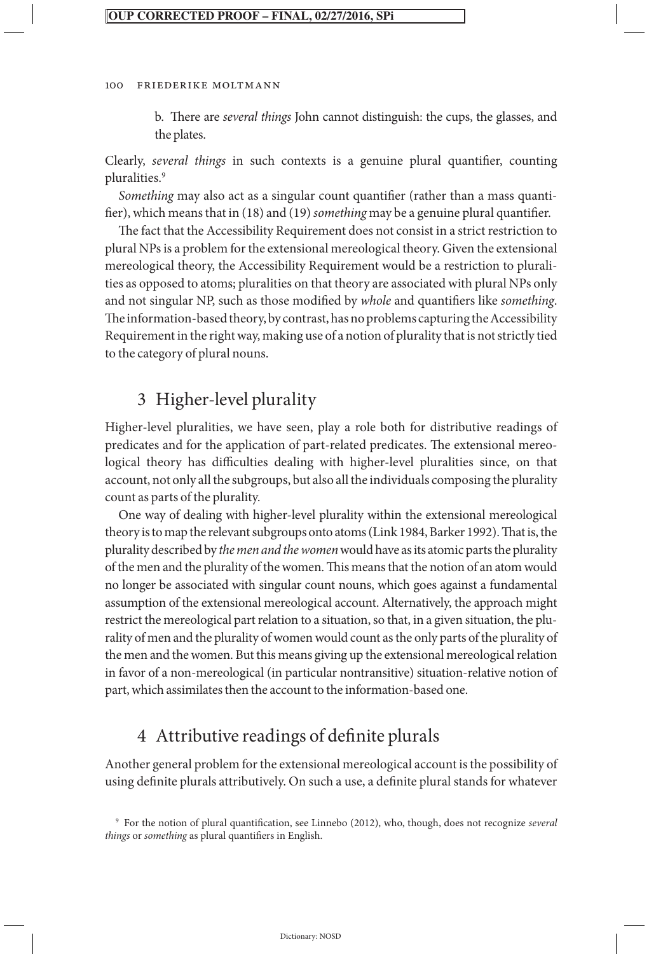#### 100 Friederike Moltmann

b. There are *several things* John cannot distinguish: the cups, the glasses, and the plates.

Clearly, *several things* in such contexts is a genuine plural quantifier, counting pluralities.<sup>9</sup>

*Something* may also act as a singular count quantifier (rather than a mass quantifier), which means that in (18) and (19) *something* may be a genuine plural quantifier.

The fact that the Accessibility Requirement does not consist in a strict restriction to plural NPs is a problem for the extensional mereological theory. Given the extensional mereological theory, the Accessibility Requirement would be a restriction to pluralities as opposed to atoms; pluralities on that theory are associated with plural NPs only and not singular NP, such as those modified by *whole* and quantifiers like *something*. The information-based theory, by contrast, has no problems capturing the Accessibility Requirement in the right way, making use of a notion of plurality that is not strictly tied to the category of plural nouns.

# 3 Higher-level plurality

Higher-level pluralities, we have seen, play a role both for distributive readings of predicates and for the application of part-related predicates. The extensional mereological theory has difficulties dealing with higher-level pluralities since, on that account, not only all the subgroups, but also all the individuals composing the plurality count as parts of the plurality.

One way of dealing with higher-level plurality within the extensional mereological theory is to map the relevant subgroups onto atoms (Link 1984, Barker 1992). That is, the plurality described by *the men and the women* would have as its atomic parts the plurality of the men and the plurality of the women. This means that the notion of an atom would no longer be associated with singular count nouns, which goes against a fundamental assumption of the extensional mereological account. Alternatively, the approach might restrict the mereological part relation to a situation, so that, in a given situation, the plurality of men and the plurality of women would count as the only parts of the plurality of the men and the women. But this means giving up the extensional mereological relation in favor of a non-mereological (in particular nontransitive) situation-relative notion of part, which assimilates then the account to the information-based one.

# 4 Attributive readings of definite plurals

Another general problem for the extensional mereological account is the possibility of using definite plurals attributively. On such a use, a definite plural stands for whatever

<sup>9</sup> For the notion of plural quantification, see Linnebo (2012), who, though, does not recognize *several things* or *something* as plural quantifiers in English.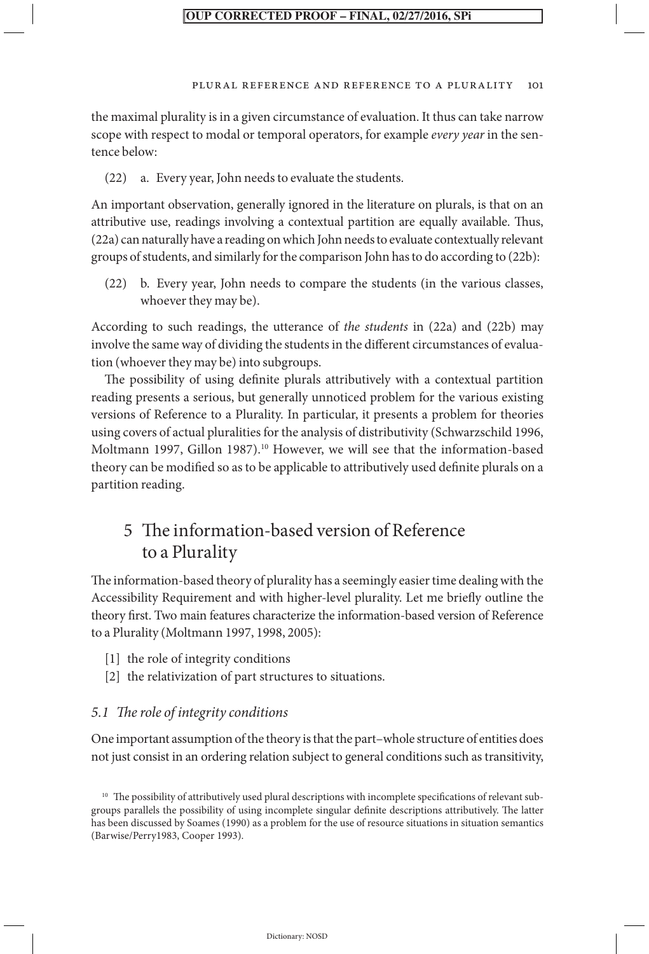#### plural reference and reference to a plurality 101

the maximal plurality is in a given circumstance of evaluation. It thus can take narrow scope with respect to modal or temporal operators, for example *every year* in the sentence below:

### (22) a. Every year, John needs to evaluate the students.

An important observation, generally ignored in the literature on plurals, is that on an attributive use, readings involving a contextual partition are equally available. Thus, (22a) can naturally have a reading on which John needs to evaluate contextually relevant groups of students, and similarly for the comparison John has to do according to (22b):

(22) b. Every year, John needs to compare the students (in the various classes, whoever they may be).

According to such readings, the utterance of *the students* in (22a) and (22b) may involve the same way of dividing the students in the different circumstances of evaluation (whoever they may be) into subgroups.

The possibility of using definite plurals attributively with a contextual partition reading presents a serious, but generally unnoticed problem for the various existing versions of Reference to a Plurality. In particular, it presents a problem for theories using covers of actual pluralities for the analysis of distributivity (Schwarzschild 1996, Moltmann 1997, Gillon 1987).<sup>10</sup> However, we will see that the information-based theory can be modified so as to be applicable to attributively used definite plurals on a partition reading.

# 5 The information-based version of Reference to a Plurality

The information-based theory of plurality has a seemingly easier time dealing with the Accessibility Requirement and with higher-level plurality. Let me briefly outline the theory first. Two main features characterize the information-based version of Reference to a Plurality (Moltmann 1997, 1998, 2005):

- [1] the role of integrity conditions
- [2] the relativization of part structures to situations.

# *5.1 The role of integrity conditions*

One important assumption of the theory is that the part–whole structure of entities does not just consist in an ordering relation subject to general conditions such as transitivity,

<sup>&</sup>lt;sup>10</sup> The possibility of attributively used plural descriptions with incomplete specifications of relevant subgroups parallels the possibility of using incomplete singular definite descriptions attributively. The latter has been discussed by Soames (1990) as a problem for the use of resource situations in situation semantics (Barwise/Perry1983, Cooper 1993).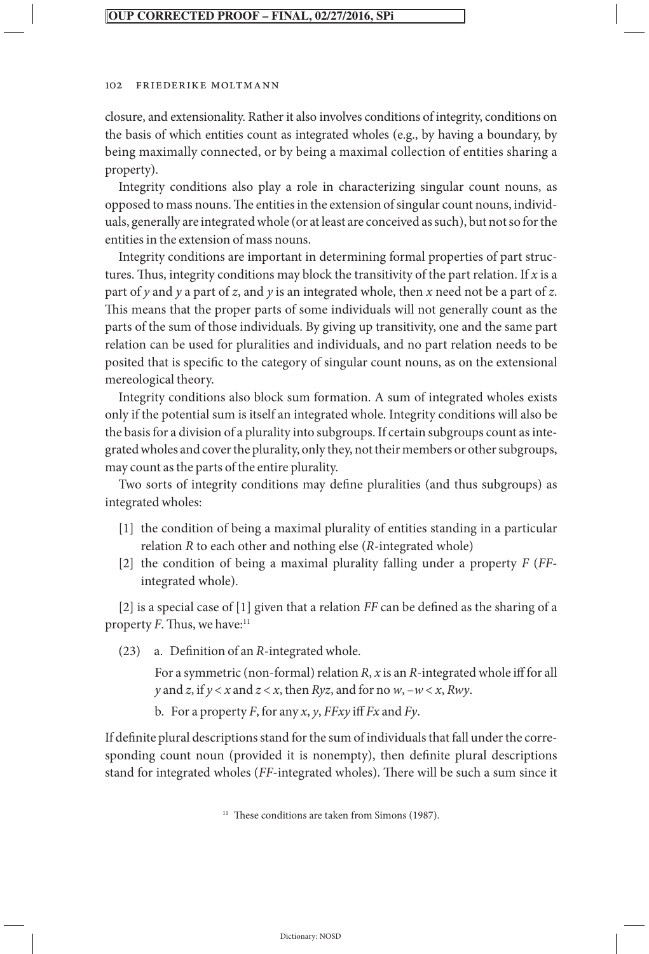#### 102 Friederike Moltmann

closure, and extensionality. Rather it also involves conditions of integrity, conditions on the basis of which entities count as integrated wholes (e.g., by having a boundary, by being maximally connected, or by being a maximal collection of entities sharing a property).

Integrity conditions also play a role in characterizing singular count nouns, as opposed to mass nouns. The entities in the extension of singular count nouns, individuals, generally are integrated whole (or at least are conceived as such), but not so for the entities in the extension of mass nouns.

Integrity conditions are important in determining formal properties of part structures. Thus, integrity conditions may block the transitivity of the part relation. If  $x$  is a part of *y* and *y* a part of *z*, and *y* is an integrated whole, then *x* need not be a part of *z*. This means that the proper parts of some individuals will not generally count as the parts of the sum of those individuals. By giving up transitivity, one and the same part relation can be used for pluralities and individuals, and no part relation needs to be posited that is specific to the category of singular count nouns, as on the extensional mereological theory.

Integrity conditions also block sum formation. A sum of integrated wholes exists only if the potential sum is itself an integrated whole. Integrity conditions will also be the basis for a division of a plurality into subgroups. If certain subgroups count as integrated wholes and cover the plurality, only they, not their members or other subgroups, may count as the parts of the entire plurality.

Two sorts of integrity conditions may define pluralities (and thus subgroups) as integrated wholes:

- [1] the condition of being a maximal plurality of entities standing in a particular relation *R* to each other and nothing else (*R*-integrated whole)
- [2] the condition of being a maximal plurality falling under a property *F* (*FF*integrated whole).

[2] is a special case of [1] given that a relation *FF* can be defined as the sharing of a property *F*. Thus, we have:<sup>11</sup>

(23) a. Definition of an *R*-integrated whole.

For a symmetric (non-formal) relation *R*, *x* is an *R*-integrated whole iff for all *y* and *z*, if  $y < x$  and  $z < x$ , then *Ryz*, and for no  $w$ ,  $-w < x$ , *Rwy*.

b. For a property *F*, for any *x*, *y*, *FFxy* iff *Fx* and *Fy*.

If definite plural descriptions stand for the sum of individuals that fall under the corresponding count noun (provided it is nonempty), then definite plural descriptions stand for integrated wholes (*FF*-integrated wholes). There will be such a sum since it

<sup>11</sup> These conditions are taken from Simons (1987).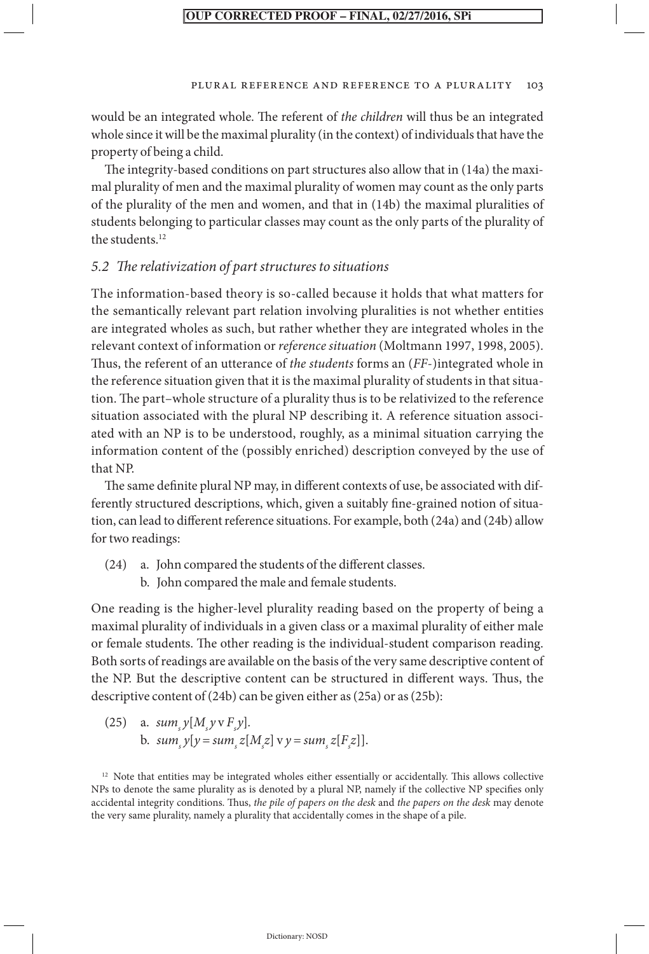#### plural reference and reference to a plurality 103

would be an integrated whole. The referent of *the children* will thus be an integrated whole since it will be the maximal plurality (in the context) of individuals that have the property of being a child.

The integrity-based conditions on part structures also allow that in (14a) the maximal plurality of men and the maximal plurality of women may count as the only parts of the plurality of the men and women, and that in (14b) the maximal pluralities of students belonging to particular classes may count as the only parts of the plurality of the students<sup>12</sup>

# *5.2 The relativization of part structures to situations*

The information-based theory is so-called because it holds that what matters for the semantically relevant part relation involving pluralities is not whether entities are integrated wholes as such, but rather whether they are integrated wholes in the relevant context of information or *reference situation* (Moltmann 1997, 1998, 2005). Thus, the referent of an utterance of *the students* forms an (*FF*-)integrated whole in the reference situation given that it is the maximal plurality of students in that situation. The part–whole structure of a plurality thus is to be relativized to the reference situation associated with the plural NP describing it. A reference situation associated with an NP is to be understood, roughly, as a minimal situation carrying the information content of the (possibly enriched) description conveyed by the use of that NP.

The same definite plural NP may, in different contexts of use, be associated with differently structured descriptions, which, given a suitably fine-grained notion of situation, can lead to different reference situations. For example, both (24a) and (24b) allow for two readings:

- (24) a. John compared the students of the different classes.
	- b. John compared the male and female students.

One reading is the higher-level plurality reading based on the property of being a maximal plurality of individuals in a given class or a maximal plurality of either male or female students. The other reading is the individual-student comparison reading. Both sorts of readings are available on the basis of the very same descriptive content of the NP. But the descriptive content can be structured in different ways. Thus, the descriptive content of (24b) can be given either as (25a) or as (25b):

(25) a. 
$$
sum_s y[M_s y v F_s y]
$$
.  
b.  $sum_s y[y = sum_s z[M_s] v y = sum_s z[F_s z]$ .

<sup>12</sup> Note that entities may be integrated wholes either essentially or accidentally. This allows collective NPs to denote the same plurality as is denoted by a plural NP, namely if the collective NP specifies only accidental integrity conditions. Thus, *the pile of papers on the desk* and *the papers on the desk* may denote the very same plurality, namely a plurality that accidentally comes in the shape of a pile.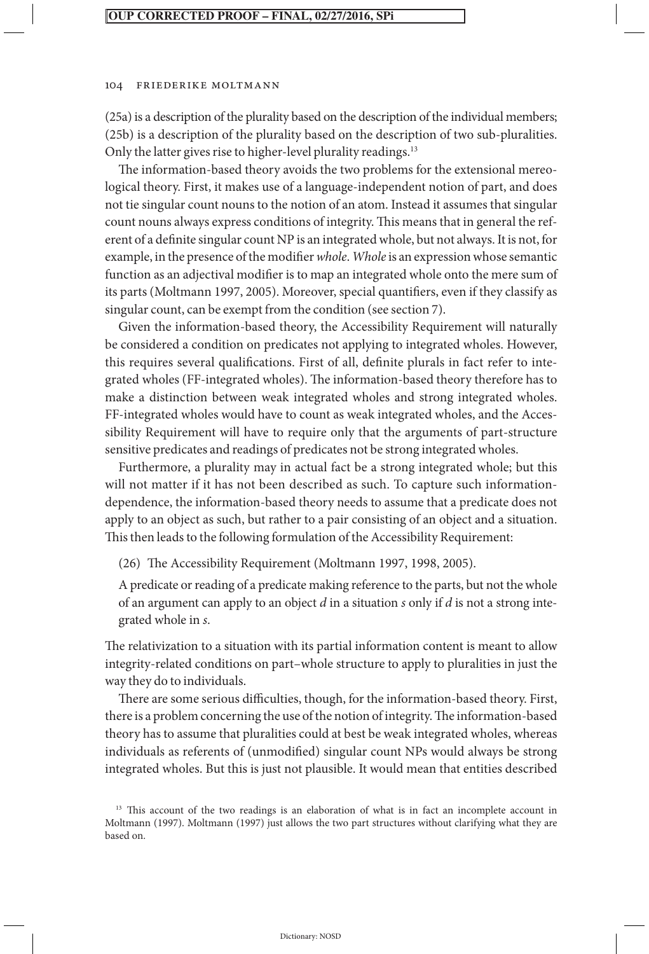(25a) is a description of the plurality based on the description of the individual members; (25b) is a description of the plurality based on the description of two sub-pluralities. Only the latter gives rise to higher-level plurality readings.<sup>13</sup>

The information-based theory avoids the two problems for the extensional mereological theory. First, it makes use of a language-independent notion of part, and does not tie singular count nouns to the notion of an atom. Instead it assumes that singular count nouns always express conditions of integrity. This means that in general the referent of a definite singular count NP is an integrated whole, but not always. It is not, for example, in the presence of the modifier *whole*. *Whole* is an expression whose semantic function as an adjectival modifier is to map an integrated whole onto the mere sum of its parts (Moltmann 1997, 2005). Moreover, special quantifiers, even if they classify as singular count, can be exempt from the condition (see section 7).

Given the information-based theory, the Accessibility Requirement will naturally be considered a condition on predicates not applying to integrated wholes. However, this requires several qualifications. First of all, definite plurals in fact refer to integrated wholes (FF-integrated wholes). The information-based theory therefore has to make a distinction between weak integrated wholes and strong integrated wholes. FF-integrated wholes would have to count as weak integrated wholes, and the Accessibility Requirement will have to require only that the arguments of part-structure sensitive predicates and readings of predicates not be strong integrated wholes.

Furthermore, a plurality may in actual fact be a strong integrated whole; but this will not matter if it has not been described as such. To capture such informationdependence, the information-based theory needs to assume that a predicate does not apply to an object as such, but rather to a pair consisting of an object and a situation. This then leads to the following formulation of the Accessibility Requirement:

(26) The Accessibility Requirement (Moltmann 1997, 1998, 2005).

A predicate or reading of a predicate making reference to the parts, but not the whole of an argument can apply to an object *d* in a situation *s* only if *d* is not a strong integrated whole in *s*.

The relativization to a situation with its partial information content is meant to allow integrity-related conditions on part–whole structure to apply to pluralities in just the way they do to individuals.

There are some serious difficulties, though, for the information-based theory. First, there is a problem concerning the use of the notion of integrity. The information-based theory has to assume that pluralities could at best be weak integrated wholes, whereas individuals as referents of (unmodified) singular count NPs would always be strong integrated wholes. But this is just not plausible. It would mean that entities described

<sup>&</sup>lt;sup>13</sup> This account of the two readings is an elaboration of what is in fact an incomplete account in Moltmann (1997). Moltmann (1997) just allows the two part structures without clarifying what they are based on.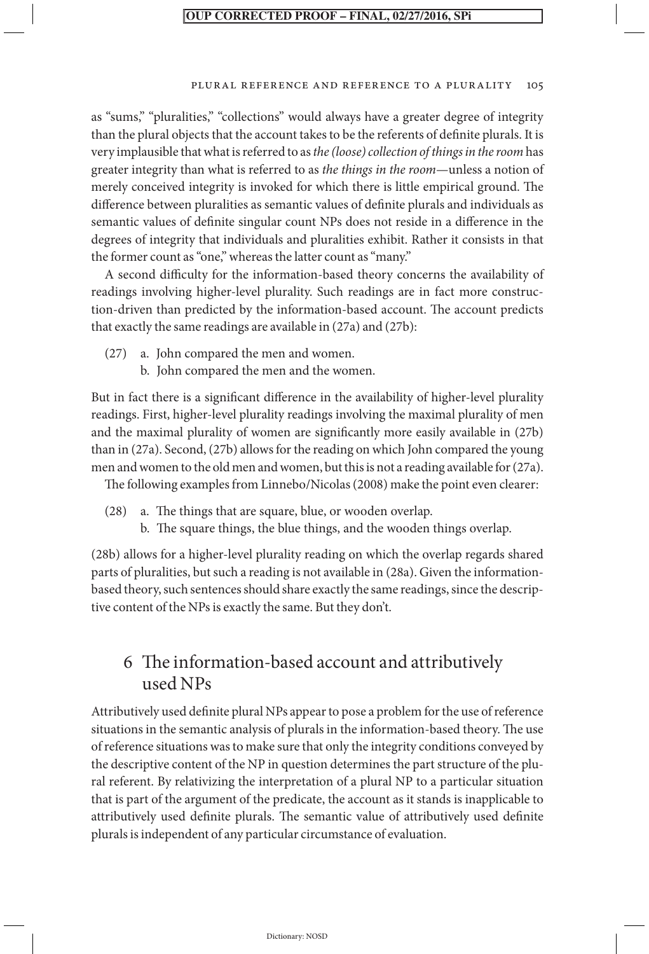#### plural reference and reference to a plurality 105

as "sums," "pluralities," "collections" would always have a greater degree of integrity than the plural objects that the account takes to be the referents of definite plurals. It is very implausible that what is referred to as *the (loose) collection of thingsin the room* has greater integrity than what is referred to as *the things in the room*—unless a notion of merely conceived integrity is invoked for which there is little empirical ground. The difference between pluralities as semantic values of definite plurals and individuals as semantic values of definite singular count NPs does not reside in a difference in the degrees of integrity that individuals and pluralities exhibit. Rather it consists in that the former count as "one," whereas the latter count as "many."

A second difficulty for the information-based theory concerns the availability of readings involving higher-level plurality. Such readings are in fact more construction-driven than predicted by the information-based account. The account predicts that exactly the same readings are available in (27a) and (27b):

- (27) a. John compared the men and women.
	- b. John compared the men and the women.

But in fact there is a significant difference in the availability of higher-level plurality readings. First, higher-level plurality readings involving the maximal plurality of men and the maximal plurality of women are significantly more easily available in (27b) than in (27a). Second, (27b) allows for the reading on which John compared the young men and women to the old men and women, but this is not a reading available for (27a).

The following examples from Linnebo/Nicolas (2008) make the point even clearer:

- (28) a. The things that are square, blue, or wooden overlap.
	- b. The square things, the blue things, and the wooden things overlap.

(28b) allows for a higher-level plurality reading on which the overlap regards shared parts of pluralities, but such a reading is not available in (28a). Given the informationbased theory, such sentences should share exactly the same readings, since the descriptive content of the NPs is exactly the same. But they don't.

# 6 The information-based account and attributively used NPs

Attributively used definite plural NPs appear to pose a problem for the use of reference situations in the semantic analysis of plurals in the information-based theory. The use of reference situations was to make sure that only the integrity conditions conveyed by the descriptive content of the NP in question determines the part structure of the plural referent. By relativizing the interpretation of a plural NP to a particular situation that is part of the argument of the predicate, the account as it stands is inapplicable to attributively used definite plurals. The semantic value of attributively used definite plurals is independent of any particular circumstance of evaluation.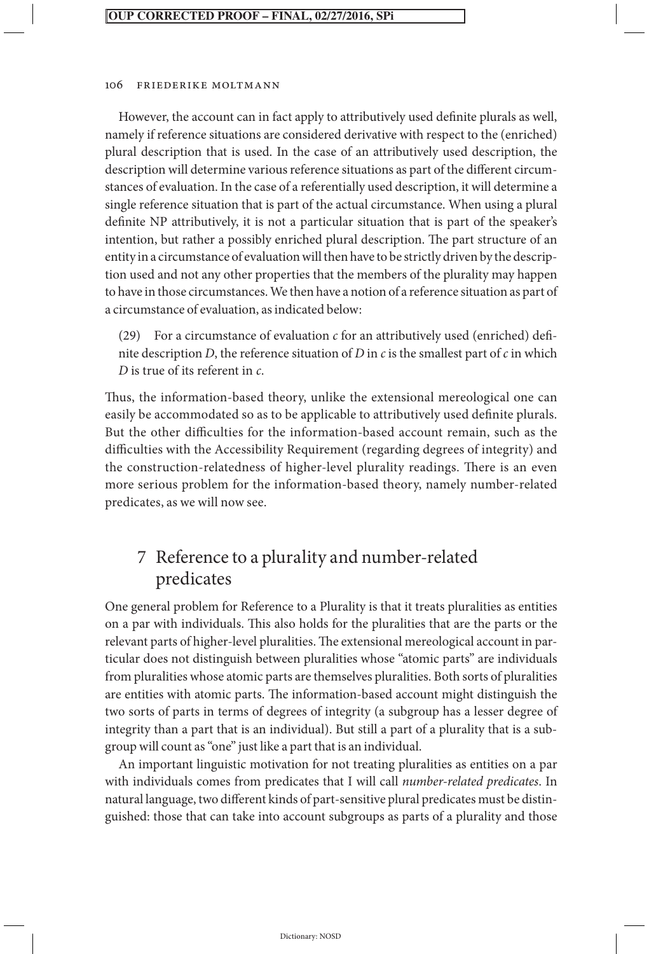However, the account can in fact apply to attributively used definite plurals as well, namely if reference situations are considered derivative with respect to the (enriched) plural description that is used. In the case of an attributively used description, the description will determine various reference situations as part of the different circumstances of evaluation. In the case of a referentially used description, it will determine a single reference situation that is part of the actual circumstance. When using a plural definite NP attributively, it is not a particular situation that is part of the speaker's intention, but rather a possibly enriched plural description. The part structure of an entity in a circumstance of evaluation will then have to be strictly driven by the description used and not any other properties that the members of the plurality may happen to have in those circumstances. We then have a notion of a reference situation as part of a circumstance of evaluation, as indicated below:

(29) For a circumstance of evaluation *c* for an attributively used (enriched) definite description *D*, the reference situation of *D* in *c* is the smallest part of *c* in which *D* is true of its referent in *c*.

Thus, the information-based theory, unlike the extensional mereological one can easily be accommodated so as to be applicable to attributively used definite plurals. But the other difficulties for the information-based account remain, such as the difficulties with the Accessibility Requirement (regarding degrees of integrity) and the construction-relatedness of higher-level plurality readings. There is an even more serious problem for the information-based theory, namely number-related predicates, as we will now see.

# 7 Reference to a plurality and number-related predicates

One general problem for Reference to a Plurality is that it treats pluralities as entities on a par with individuals. This also holds for the pluralities that are the parts or the relevant parts of higher-level pluralities. The extensional mereological account in particular does not distinguish between pluralities whose "atomic parts" are individuals from pluralities whose atomic parts are themselves pluralities. Both sorts of pluralities are entities with atomic parts. The information-based account might distinguish the two sorts of parts in terms of degrees of integrity (a subgroup has a lesser degree of integrity than a part that is an individual). But still a part of a plurality that is a subgroup will count as "one" just like a part that is an individual.

An important linguistic motivation for not treating pluralities as entities on a par with individuals comes from predicates that I will call *number-related predicates*. In natural language, two different kinds of part-sensitive plural predicates must be distinguished: those that can take into account subgroups as parts of a plurality and those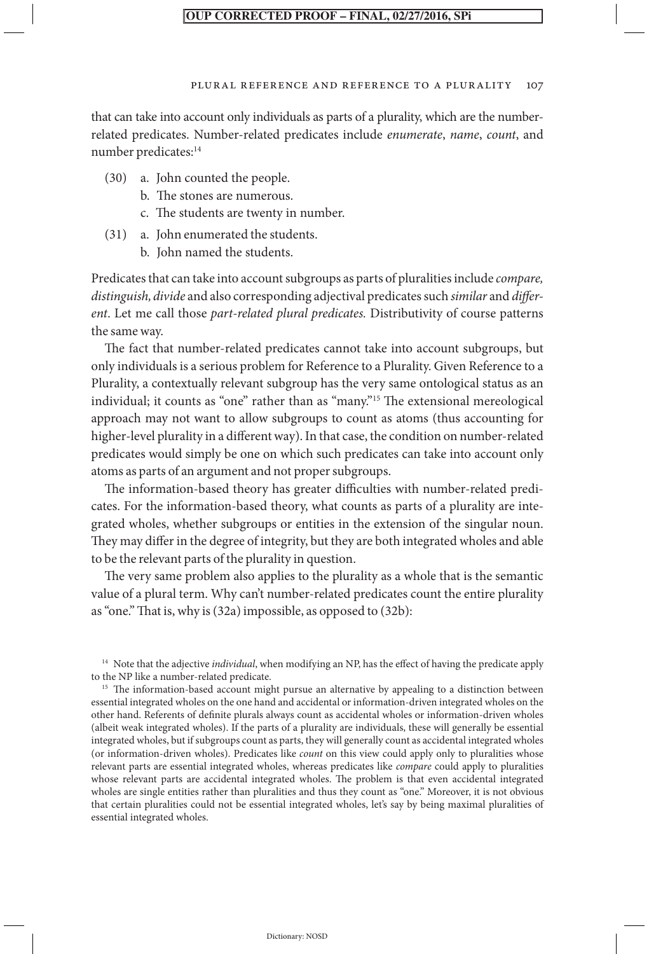#### plural reference and reference to a plurality 107

that can take into account only individuals as parts of a plurality, which are the numberrelated predicates. Number-related predicates include *enumerate*, *name*, *count*, and number predicates:<sup>14</sup>

- (30) a. John counted the people.
	- b. The stones are numerous.
	- c. The students are twenty in number.
- (31) a. John enumerated the students. b. John named the students.

Predicates that can take into account subgroups as parts of pluralities include *compare, distinguish, divide* and also corresponding adjectival predicates such *similar* and *different*. Let me call those *part-related plural predicates.* Distributivity of course patterns the same way.

The fact that number-related predicates cannot take into account subgroups, but only individuals is a serious problem for Reference to a Plurality. Given Reference to a Plurality, a contextually relevant subgroup has the very same ontological status as an individual; it counts as "one" rather than as "many."15 The extensional mereological approach may not want to allow subgroups to count as atoms (thus accounting for higher-level plurality in a different way). In that case, the condition on number-related predicates would simply be one on which such predicates can take into account only atoms as parts of an argument and not proper subgroups.

The information-based theory has greater difficulties with number-related predicates. For the information-based theory, what counts as parts of a plurality are integrated wholes, whether subgroups or entities in the extension of the singular noun. They may differ in the degree of integrity, but they are both integrated wholes and able to be the relevant parts of the plurality in question.

The very same problem also applies to the plurality as a whole that is the semantic value of a plural term. Why can't number-related predicates count the entire plurality as "one." That is, why is (32a) impossible, as opposed to (32b):

<sup>14</sup> Note that the adjective *individual*, when modifying an NP, has the effect of having the predicate apply to the NP like a number-related predicate.

<sup>15</sup> The information-based account might pursue an alternative by appealing to a distinction between essential integrated wholes on the one hand and accidental or information-driven integrated wholes on the other hand. Referents of definite plurals always count as accidental wholes or information-driven wholes (albeit weak integrated wholes). If the parts of a plurality are individuals, these will generally be essential integrated wholes, but if subgroups count as parts, they will generally count as accidental integrated wholes (or information-driven wholes). Predicates like *count* on this view could apply only to pluralities whose relevant parts are essential integrated wholes, whereas predicates like *compare* could apply to pluralities whose relevant parts are accidental integrated wholes. The problem is that even accidental integrated wholes are single entities rather than pluralities and thus they count as "one." Moreover, it is not obvious that certain pluralities could not be essential integrated wholes, let's say by being maximal pluralities of essential integrated wholes.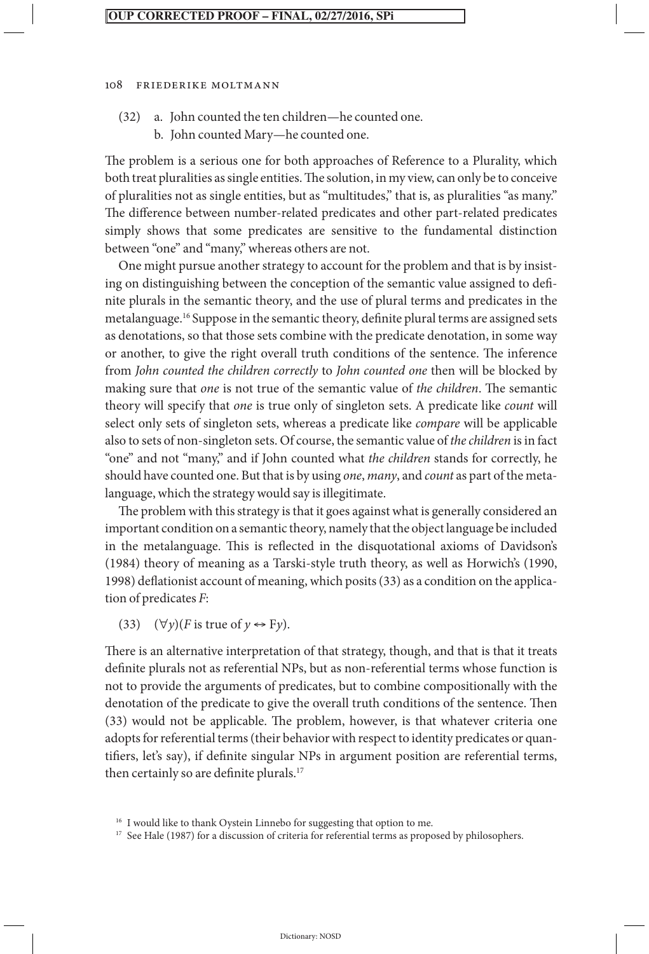(32) a. John counted the ten children—he counted one. b. John counted Mary—he counted one.

The problem is a serious one for both approaches of Reference to a Plurality, which both treat pluralities as single entities. The solution, in my view, can only be to conceive of pluralities not as single entities, but as "multitudes," that is, as pluralities "as many." The difference between number-related predicates and other part-related predicates simply shows that some predicates are sensitive to the fundamental distinction between "one" and "many," whereas others are not.

One might pursue another strategy to account for the problem and that is by insisting on distinguishing between the conception of the semantic value assigned to definite plurals in the semantic theory, and the use of plural terms and predicates in the metalanguage.16 Suppose in the semantic theory, definite plural terms are assigned sets as denotations, so that those sets combine with the predicate denotation, in some way or another, to give the right overall truth conditions of the sentence. The inference from *John counted the children correctly* to *John counted one* then will be blocked by making sure that *one* is not true of the semantic value of *the children*. The semantic theory will specify that *one* is true only of singleton sets. A predicate like *count* will select only sets of singleton sets, whereas a predicate like *compare* will be applicable also to sets of non-singleton sets. Of course, the semantic value of *the children* is in fact "one" and not "many," and if John counted what *the children* stands for correctly, he should have counted one. But that is by using *one*, *many*, and *count* as part of the metalanguage, which the strategy would say is illegitimate.

The problem with this strategy is that it goes against what is generally considered an important condition on a semantic theory, namely that the object language be included in the metalanguage. This is reflected in the disquotational axioms of Davidson's (1984) theory of meaning as a Tarski-style truth theory, as well as Horwich's (1990, 1998) deflationist account of meaning, which posits (33) as a condition on the application of predicates *F*:

(33)  $(\forall y)(F \text{ is true of } y \leftrightarrow Fy).$ 

There is an alternative interpretation of that strategy, though, and that is that it treats definite plurals not as referential NPs, but as non-referential terms whose function is not to provide the arguments of predicates, but to combine compositionally with the denotation of the predicate to give the overall truth conditions of the sentence. Then (33) would not be applicable. The problem, however, is that whatever criteria one adopts for referential terms (their behavior with respect to identity predicates or quantifiers, let's say), if definite singular NPs in argument position are referential terms, then certainly so are definite plurals.<sup>17</sup>

<sup>&</sup>lt;sup>16</sup> I would like to thank Oystein Linnebo for suggesting that option to me.

<sup>&</sup>lt;sup>17</sup> See Hale (1987) for a discussion of criteria for referential terms as proposed by philosophers.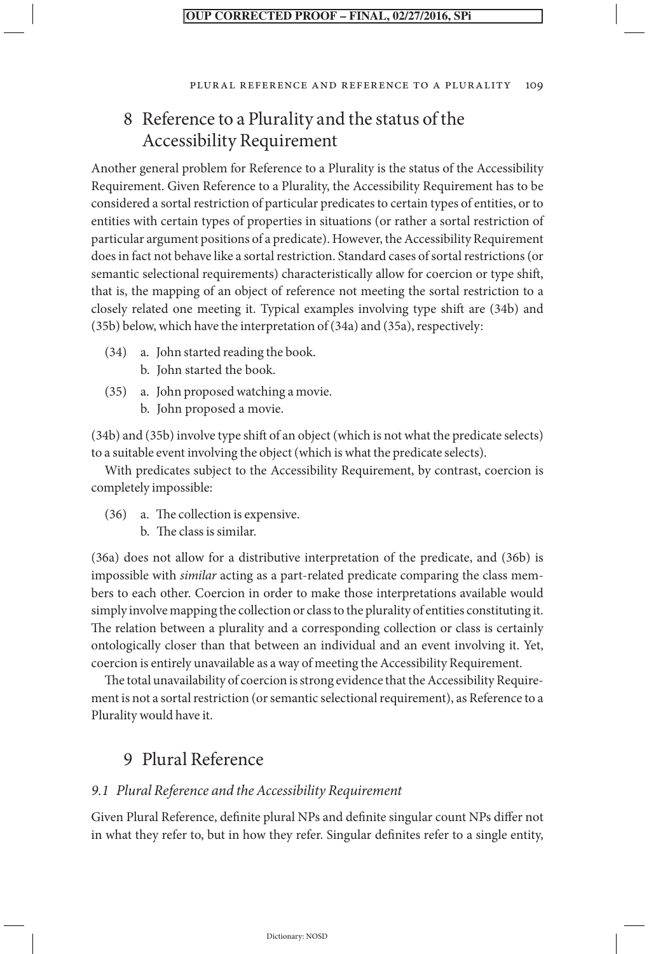plural reference and reference to a plurality 109

# 8 Reference to a Plurality and the status of the Accessibility Requirement

Another general problem for Reference to a Plurality is the status of the Accessibility Requirement. Given Reference to a Plurality, the Accessibility Requirement has to be considered a sortal restriction of particular predicates to certain types of entities, or to entities with certain types of properties in situations (or rather a sortal restriction of particular argument positions of a predicate). However, the Accessibility Requirement does in fact not behave like a sortal restriction. Standard cases of sortal restrictions (or semantic selectional requirements) characteristically allow for coercion or type shift, that is, the mapping of an object of reference not meeting the sortal restriction to a closely related one meeting it. Typical examples involving type shift are (34b) and (35b) below, which have the interpretation of (34a) and (35a), respectively:

- (34) a. John started reading the book. b. John started the book.
- (35) a. John proposed watching a movie. b. John proposed a movie.

(34b) and (35b) involve type shift of an object (which is not what the predicate selects) to a suitable event involving the object (which is what the predicate selects).

With predicates subject to the Accessibility Requirement, by contrast, coercion is completely impossible:

(36) a. The collection is expensive. b. The class is similar.

(36a) does not allow for a distributive interpretation of the predicate, and (36b) is impossible with *similar* acting as a part-related predicate comparing the class members to each other. Coercion in order to make those interpretations available would simply involve mapping the collection or class to the plurality of entities constituting it. The relation between a plurality and a corresponding collection or class is certainly ontologically closer than that between an individual and an event involving it. Yet, coercion is entirely unavailable as a way of meeting the Accessibility Requirement.

The total unavailability of coercion is strong evidence that the Accessibility Requirement is not a sortal restriction (or semantic selectional requirement), as Reference to a Plurality would have it.

# 9 Plural Reference

# *9.1 Plural Reference and the Accessibility Requirement*

Given Plural Reference, definite plural NPs and definite singular count NPs differ not in what they refer to, but in how they refer. Singular definites refer to a single entity,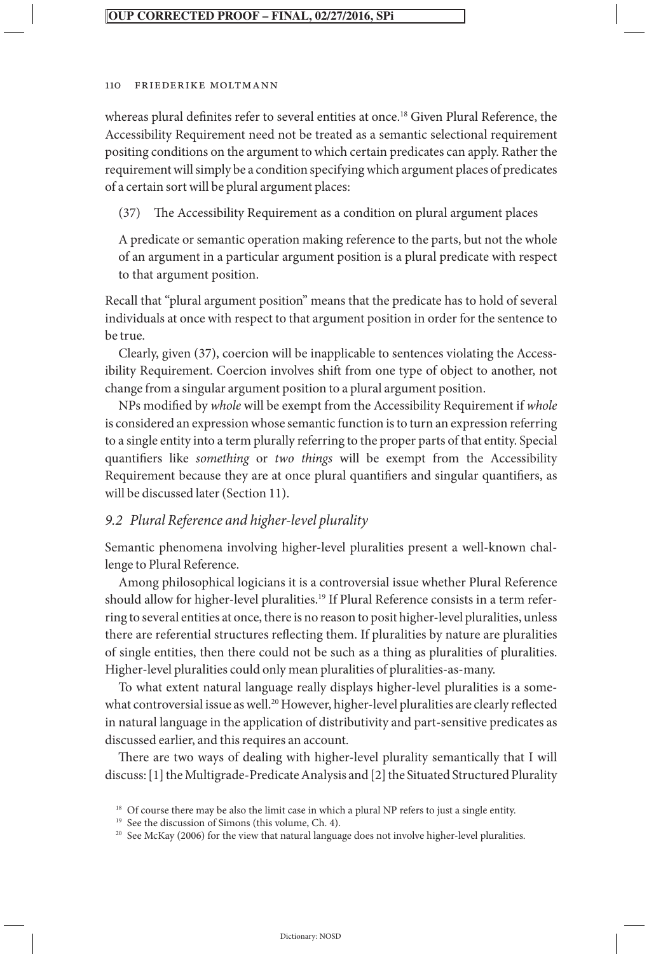whereas plural definites refer to several entities at once.18 Given Plural Reference, the Accessibility Requirement need not be treated as a semantic selectional requirement positing conditions on the argument to which certain predicates can apply. Rather the requirement will simply be a condition specifying which argument places of predicates of a certain sort will be plural argument places:

(37) The Accessibility Requirement as a condition on plural argument places

A predicate or semantic operation making reference to the parts, but not the whole of an argument in a particular argument position is a plural predicate with respect to that argument position.

Recall that "plural argument position" means that the predicate has to hold of several individuals at once with respect to that argument position in order for the sentence to be true.

Clearly, given (37), coercion will be inapplicable to sentences violating the Accessibility Requirement. Coercion involves shift from one type of object to another, not change from a singular argument position to a plural argument position.

NPs modified by *whole* will be exempt from the Accessibility Requirement if *whole* is considered an expression whose semantic function is to turn an expression referring to a single entity into a term plurally referring to the proper parts of that entity. Special quantifiers like *something* or *two things* will be exempt from the Accessibility Requirement because they are at once plural quantifiers and singular quantifiers, as will be discussed later (Section 11).

# *9.2 Plural Reference and higher-level plurality*

Semantic phenomena involving higher-level pluralities present a well-known challenge to Plural Reference.

Among philosophical logicians it is a controversial issue whether Plural Reference should allow for higher-level pluralities.<sup>19</sup> If Plural Reference consists in a term referring to several entities at once, there is no reason to posit higher-level pluralities, unless there are referential structures reflecting them. If pluralities by nature are pluralities of single entities, then there could not be such as a thing as pluralities of pluralities. Higher-level pluralities could only mean pluralities of pluralities-as-many.

To what extent natural language really displays higher-level pluralities is a somewhat controversial issue as well.<sup>20</sup> However, higher-level pluralities are clearly reflected in natural language in the application of distributivity and part-sensitive predicates as discussed earlier, and this requires an account.

There are two ways of dealing with higher-level plurality semantically that I will discuss: [1] the Multigrade-Predicate Analysis and [2] the Situated Structured Plurality

<sup>&</sup>lt;sup>18</sup> Of course there may be also the limit case in which a plural NP refers to just a single entity.

<sup>19</sup> See the discussion of Simons (this volume, Ch. 4).

<sup>&</sup>lt;sup>20</sup> See McKay (2006) for the view that natural language does not involve higher-level pluralities.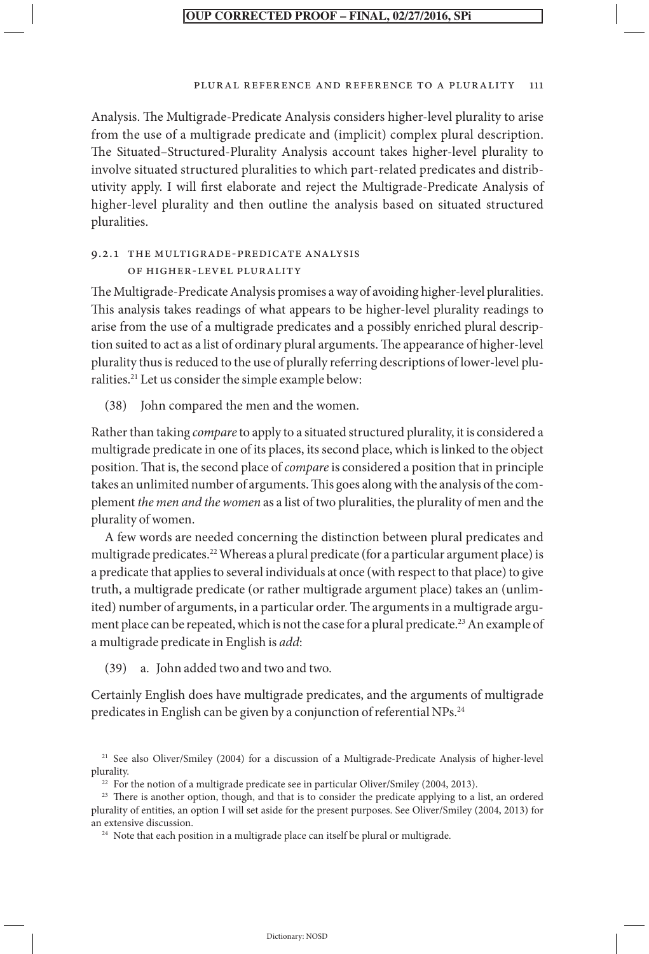#### plural reference and reference to a plurality 111

Analysis. The Multigrade-Predicate Analysis considers higher-level plurality to arise from the use of a multigrade predicate and (implicit) complex plural description. The Situated–Structured-Plurality Analysis account takes higher-level plurality to involve situated structured pluralities to which part-related predicates and distributivity apply. I will first elaborate and reject the Multigrade-Predicate Analysis of higher-level plurality and then outline the analysis based on situated structured pluralities.

# 9.2.1 The Multigrade-Predicate Analysis of higher-level plurality

The Multigrade-Predicate Analysis promises a way of avoiding higher-level pluralities. This analysis takes readings of what appears to be higher-level plurality readings to arise from the use of a multigrade predicates and a possibly enriched plural description suited to act as a list of ordinary plural arguments. The appearance of higher-level plurality thus is reduced to the use of plurally referring descriptions of lower-level pluralities.21 Let us consider the simple example below:

(38) John compared the men and the women.

Rather than taking *compare* to apply to a situated structured plurality, it is considered a multigrade predicate in one of its places, its second place, which is linked to the object position. That is, the second place of *compare* is considered a position that in principle takes an unlimited number of arguments. This goes along with the analysis of the complement *the men and the women* as a list of two pluralities, the plurality of men and the plurality of women.

A few words are needed concerning the distinction between plural predicates and multigrade predicates.22 Whereas a plural predicate (for a particular argument place) is a predicate that applies to several individuals at once (with respect to that place) to give truth, a multigrade predicate (or rather multigrade argument place) takes an (unlimited) number of arguments, in a particular order. The arguments in a multigrade argument place can be repeated, which is not the case for a plural predicate.<sup>23</sup> An example of a multigrade predicate in English is *add*:

(39) a. John added two and two and two.

Certainly English does have multigrade predicates, and the arguments of multigrade predicates in English can be given by a conjunction of referential NPs.<sup>24</sup>

<sup>&</sup>lt;sup>21</sup> See also Oliver/Smiley (2004) for a discussion of a Multigrade-Predicate Analysis of higher-level plurality.

<sup>&</sup>lt;sup>22</sup> For the notion of a multigrade predicate see in particular Oliver/Smiley (2004, 2013).

<sup>&</sup>lt;sup>23</sup> There is another option, though, and that is to consider the predicate applying to a list, an ordered plurality of entities, an option I will set aside for the present purposes. See Oliver/Smiley (2004, 2013) for an extensive discussion.

<sup>&</sup>lt;sup>24</sup> Note that each position in a multigrade place can itself be plural or multigrade.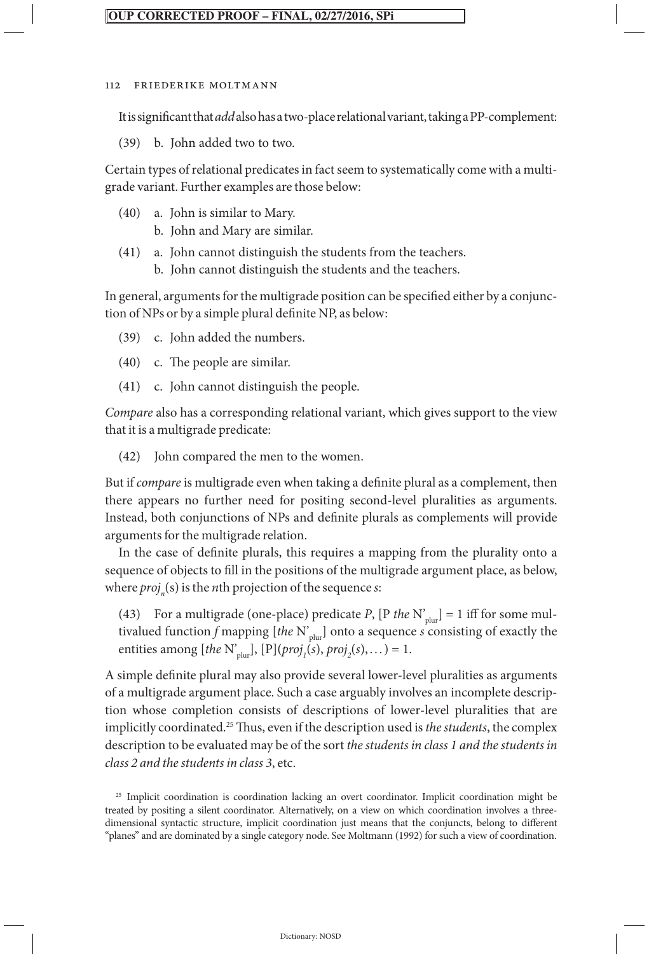#### 112 Friederike Moltmann

It is significant that *add* also has a two-place relational variant, taking a PP-complement:

(39) b. John added two to two.

Certain types of relational predicates in fact seem to systematically come with a multigrade variant. Further examples are those below:

(40) a. John is similar to Mary.

b. John and Mary are similar.

(41) a. John cannot distinguish the students from the teachers.

b. John cannot distinguish the students and the teachers.

In general, arguments for the multigrade position can be specified either by a conjunction of NPs or by a simple plural definite NP, as below:

- (39) c. John added the numbers.
- (40) c. The people are similar.
- (41) c. John cannot distinguish the people.

*Compare* also has a corresponding relational variant, which gives support to the view that it is a multigrade predicate:

(42) John compared the men to the women.

But if *compare* is multigrade even when taking a definite plural as a complement, then there appears no further need for positing second-level pluralities as arguments. Instead, both conjunctions of NPs and definite plurals as complements will provide arguments for the multigrade relation.

In the case of definite plurals, this requires a mapping from the plurality onto a sequence of objects to fill in the positions of the multigrade argument place, as below, where  $proj_n(s)$  is the *n*th projection of the sequence *s*:

(43) For a multigrade (one-place) predicate *P*,  $[P$  *the*  $N'_{\text{blur}}] = 1$  iff for some multivalued function *f* mapping [*the* N'<sub>plur</sub>] onto a sequence *s* consisting of exactly the entities among  $[the \ N^{\prime}_{\text{plur}}], [P](proj_{1}(s), proj_{2}(s),...) = 1.$ 

A simple definite plural may also provide several lower-level pluralities as arguments of a multigrade argument place. Such a case arguably involves an incomplete description whose completion consists of descriptions of lower-level pluralities that are implicitly coordinated.25 Thus, even if the description used is *the students*, the complex description to be evaluated may be of the sort *the students in class 1 and the students in class 2 and the students in class 3*, etc.

<sup>&</sup>lt;sup>25</sup> Implicit coordination is coordination lacking an overt coordinator. Implicit coordination might be treated by positing a silent coordinator. Alternatively, on a view on which coordination involves a threedimensional syntactic structure, implicit coordination just means that the conjuncts, belong to different "planes" and are dominated by a single category node. See Moltmann (1992) for such a view of coordination.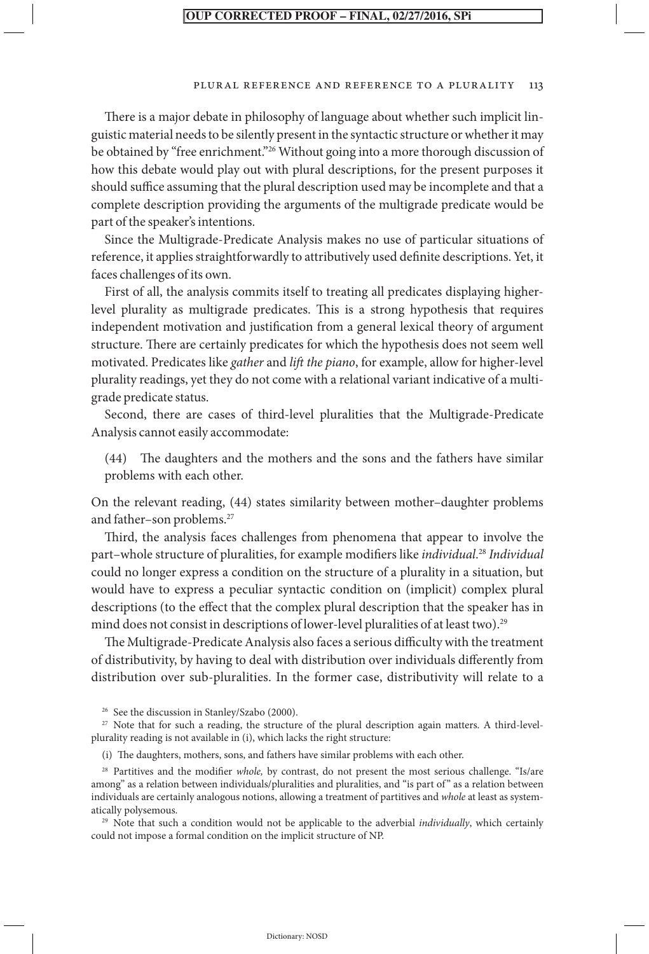#### plural reference and reference to a plurality 113

There is a major debate in philosophy of language about whether such implicit linguistic material needs to be silently present in the syntactic structure or whether it may be obtained by "free enrichment."26 Without going into a more thorough discussion of how this debate would play out with plural descriptions, for the present purposes it should suffice assuming that the plural description used may be incomplete and that a complete description providing the arguments of the multigrade predicate would be part of the speaker's intentions.

Since the Multigrade-Predicate Analysis makes no use of particular situations of reference, it applies straightforwardly to attributively used definite descriptions. Yet, it faces challenges of its own.

First of all, the analysis commits itself to treating all predicates displaying higherlevel plurality as multigrade predicates. This is a strong hypothesis that requires independent motivation and justification from a general lexical theory of argument structure. There are certainly predicates for which the hypothesis does not seem well motivated. Predicates like *gather* and *lift the piano*, for example, allow for higher-level plurality readings, yet they do not come with a relational variant indicative of a multigrade predicate status.

Second, there are cases of third-level pluralities that the Multigrade-Predicate Analysis cannot easily accommodate:

(44) The daughters and the mothers and the sons and the fathers have similar problems with each other.

On the relevant reading, (44) states similarity between mother–daughter problems and father–son problems.27

Third, the analysis faces challenges from phenomena that appear to involve the part–whole structure of pluralities, for example modifiers like *individual*. <sup>28</sup> *Individual* could no longer express a condition on the structure of a plurality in a situation, but would have to express a peculiar syntactic condition on (implicit) complex plural descriptions (to the effect that the complex plural description that the speaker has in mind does not consist in descriptions of lower-level pluralities of at least two).<sup>29</sup>

The Multigrade-Predicate Analysis also faces a serious difficulty with the treatment of distributivity, by having to deal with distribution over individuals differently from distribution over sub-pluralities. In the former case, distributivity will relate to a

<sup>29</sup> Note that such a condition would not be applicable to the adverbial *individually*, which certainly could not impose a formal condition on the implicit structure of NP.

<sup>&</sup>lt;sup>26</sup> See the discussion in Stanley/Szabo (2000).

<sup>&</sup>lt;sup>27</sup> Note that for such a reading, the structure of the plural description again matters. A third-levelplurality reading is not available in (i), which lacks the right structure:

<sup>(</sup>i) The daughters, mothers, sons, and fathers have similar problems with each other.

<sup>&</sup>lt;sup>28</sup> Partitives and the modifier *whole*, by contrast, do not present the most serious challenge. "Is/are among" as a relation between individuals/pluralities and pluralities, and "is part of" as a relation between individuals are certainly analogous notions, allowing a treatment of partitives and *whole* at least as systematically polysemous.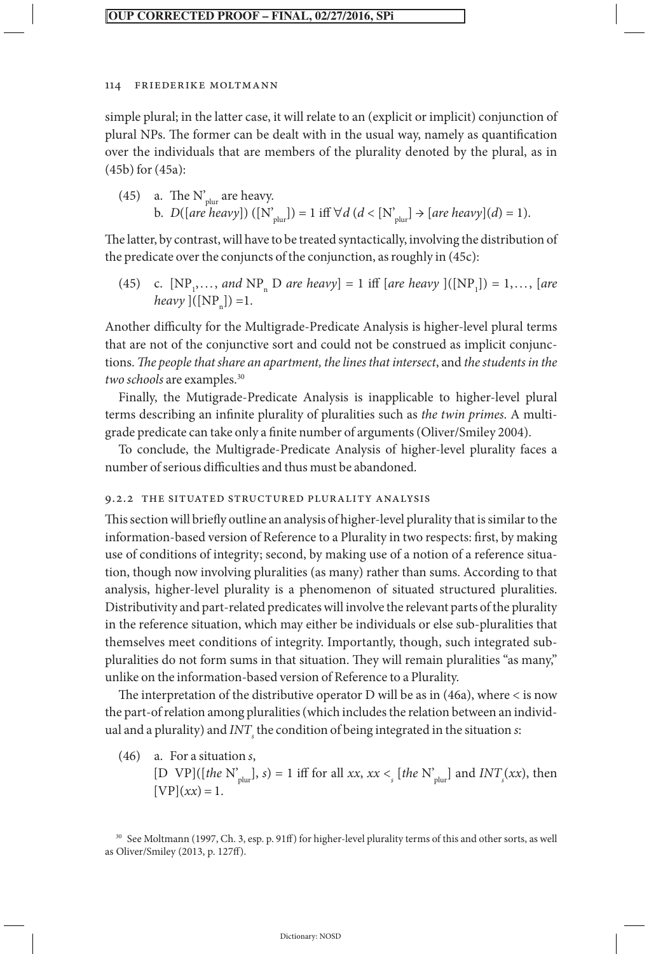simple plural; in the latter case, it will relate to an (explicit or implicit) conjunction of plural NPs. The former can be dealt with in the usual way, namely as quantification over the individuals that are members of the plurality denoted by the plural, as in (45b) for (45a):

(45) a. The  $N'_{\text{plur}}$  are heavy. b. *D*([are heavy]) ( $[N^{\prime}_{\text{plur}}]$ ) = 1 iff ∀*d* (*d* <  $[N^{\prime}_{\text{plur}}]$  → [are heavy](*d*) = 1).

The latter, by contrast, will have to be treated syntactically, involving the distribution of the predicate over the conjuncts of the conjunction, as roughly in (45c):

(45) c.  $[NP_1, ..., \text{ and } NP_n D \text{ are heavy}] = 1$  iff [are heavy  $]([NP_1]) = 1, ..., \text{ [are]}$  $heavy$   $]([NP_n]) = 1.$ 

Another difficulty for the Multigrade-Predicate Analysis is higher-level plural terms that are not of the conjunctive sort and could not be construed as implicit conjunctions. *The people that share an apartment, the lines that intersect*, and *the students in the two schools* are examples.30

Finally, the Mutigrade-Predicate Analysis is inapplicable to higher-level plural terms describing an infinite plurality of pluralities such as *the twin primes*. A multigrade predicate can take only a finite number of arguments (Oliver/Smiley 2004).

To conclude, the Multigrade-Predicate Analysis of higher-level plurality faces a number of serious difficulties and thus must be abandoned.

### 9.2.2 The Situated Structured Plurality Analysis

This section will briefly outline an analysis of higher-level plurality that is similar to the information-based version of Reference to a Plurality in two respects: first, by making use of conditions of integrity; second, by making use of a notion of a reference situation, though now involving pluralities (as many) rather than sums. According to that analysis, higher-level plurality is a phenomenon of situated structured pluralities. Distributivity and part-related predicates will involve the relevant parts of the plurality in the reference situation, which may either be individuals or else sub-pluralities that themselves meet conditions of integrity. Importantly, though, such integrated subpluralities do not form sums in that situation. They will remain pluralities "as many," unlike on the information-based version of Reference to a Plurality.

The interpretation of the distributive operator D will be as in (46a), where < is now the part-of relation among pluralities (which includes the relation between an individual and a plurality) and  $INT_{\frac{1}{s}}$  the condition of being integrated in the situation *s*:

(46) a. For a situation *s*, [D VP]([*the* N'<sub>plur</sub>], *s*) = 1 iff for all *xx*, *xx* <  $\frac{1}{s}$  [*the* N'<sub>plur</sub>] and *INT*<sub>*s*</sub>(*xx*), then  $[VP](xx) = 1.$ 

<sup>30</sup> See Moltmann (1997, Ch. 3, esp. p. 91ff) for higher-level plurality terms of this and other sorts, as well as Oliver/Smiley (2013, p. 127ff).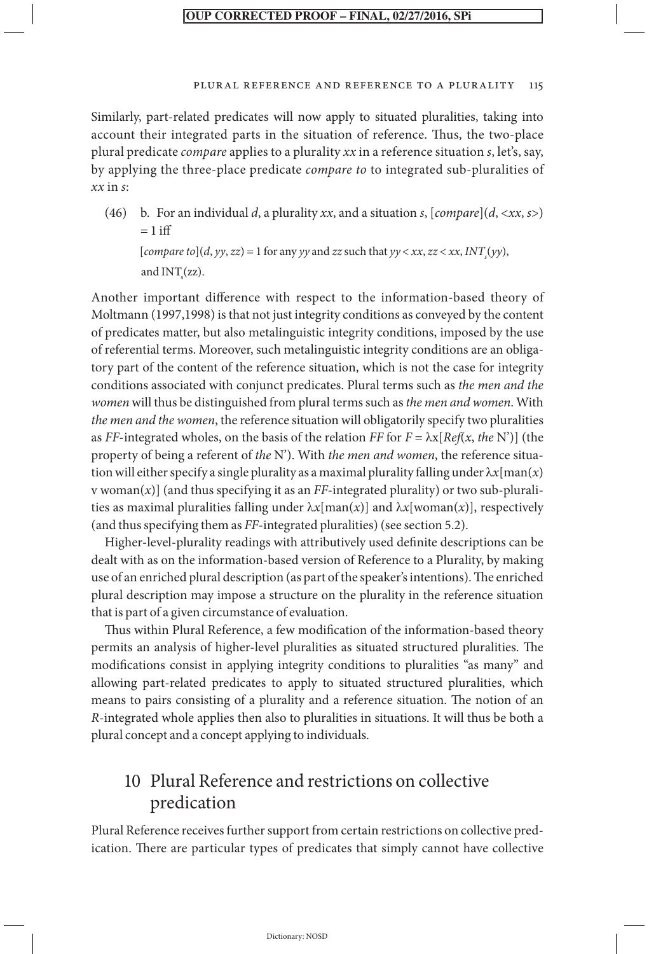#### plural reference and reference to a plurality 115

Similarly, part-related predicates will now apply to situated pluralities, taking into account their integrated parts in the situation of reference. Thus, the two-place plural predicate *compare* applies to a plurality *xx* in a reference situation *s*, let's, say, by applying the three-place predicate *compare to* to integrated sub-pluralities of *xx* in *s*:

(46) b. For an individual *d*, a plurality *xx*, and a situation *s*,  $[compare](d, \langle xx, s \rangle)$  $= 1$  iff

 $[compare to](d, yy, zz) = 1$  for any *yy* and *zz* such that  $yy < xx, zz < xx, INT_s(yy)$ , and  $INT<sub>s</sub>(zz)$ .

Another important difference with respect to the information-based theory of Moltmann (1997,1998) is that not just integrity conditions as conveyed by the content of predicates matter, but also metalinguistic integrity conditions, imposed by the use of referential terms. Moreover, such metalinguistic integrity conditions are an obligatory part of the content of the reference situation, which is not the case for integrity conditions associated with conjunct predicates. Plural terms such as *the men and the women* will thus be distinguished from plural terms such as *the men and women*. With *the men and the women*, the reference situation will obligatorily specify two pluralities as *FF*-integrated wholes, on the basis of the relation *FF* for  $F = \lambda x [Ref(x, the N')]$  (the property of being a referent of *the* N'). With *the men and women*, the reference situation will either specify a single plurality as a maximal plurality falling under  $\lambda x$ [man(*x*)]  $v$  woman $(x)$ ] (and thus specifying it as an *FF*-integrated plurality) or two sub-pluralities as maximal pluralities falling under  $\lambda x$ [man(x)] and  $\lambda x$ [woman(x)], respectively (and thus specifying them as *FF*-integrated pluralities) (see section 5.2).

Higher-level-plurality readings with attributively used definite descriptions can be dealt with as on the information-based version of Reference to a Plurality, by making use of an enriched plural description (as part of the speaker's intentions). The enriched plural description may impose a structure on the plurality in the reference situation that is part of a given circumstance of evaluation.

Thus within Plural Reference, a few modification of the information-based theory permits an analysis of higher-level pluralities as situated structured pluralities. The modifications consist in applying integrity conditions to pluralities "as many" and allowing part-related predicates to apply to situated structured pluralities, which means to pairs consisting of a plurality and a reference situation. The notion of an *R*-integrated whole applies then also to pluralities in situations. It will thus be both a plural concept and a concept applying to individuals.

# 10 Plural Reference and restrictions on collective predication

Plural Reference receives further support from certain restrictions on collective predication. There are particular types of predicates that simply cannot have collective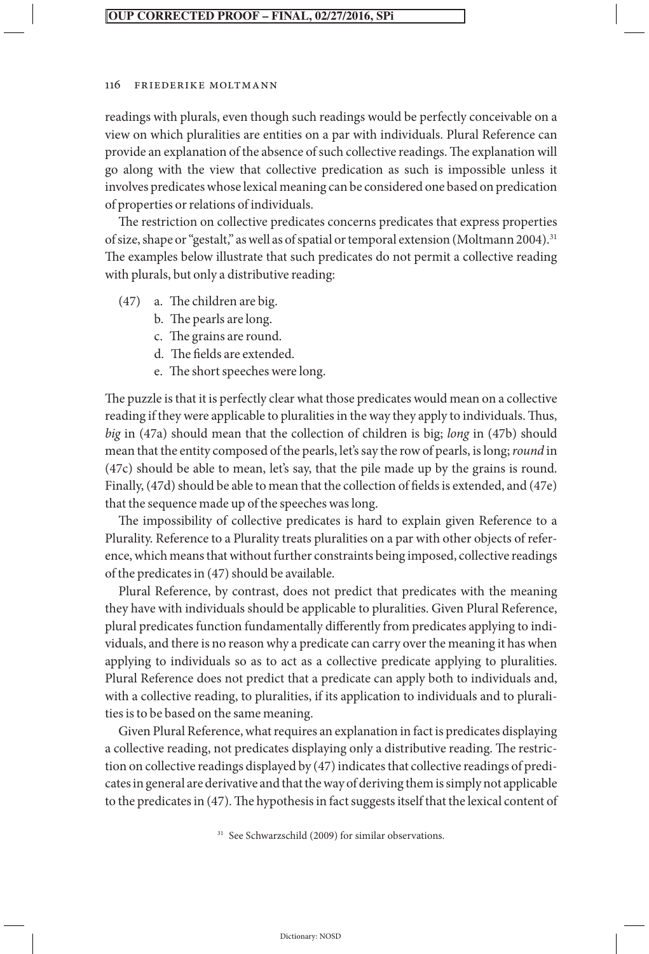readings with plurals, even though such readings would be perfectly conceivable on a view on which pluralities are entities on a par with individuals. Plural Reference can provide an explanation of the absence of such collective readings. The explanation will go along with the view that collective predication as such is impossible unless it involves predicates whose lexical meaning can be considered one based on predication of properties or relations of individuals.

The restriction on collective predicates concerns predicates that express properties of size, shape or "gestalt," as well as of spatial or temporal extension (Moltmann 2004).<sup>31</sup> The examples below illustrate that such predicates do not permit a collective reading with plurals, but only a distributive reading:

- (47) a. The children are big.
	- b. The pearls are long.
	- c. The grains are round.
	- d. The fields are extended.
	- e. The short speeches were long.

The puzzle is that it is perfectly clear what those predicates would mean on a collective reading if they were applicable to pluralities in the way they apply to individuals. Thus, *big* in (47a) should mean that the collection of children is big; *long* in (47b) should mean that the entity composed of the pearls, let's say the row of pearls, is long; *round* in (47c) should be able to mean, let's say, that the pile made up by the grains is round. Finally, (47d) should be able to mean that the collection of fields is extended, and (47e) that the sequence made up of the speeches was long.

The impossibility of collective predicates is hard to explain given Reference to a Plurality. Reference to a Plurality treats pluralities on a par with other objects of reference, which means that without further constraints being imposed, collective readings of the predicates in (47) should be available.

Plural Reference, by contrast, does not predict that predicates with the meaning they have with individuals should be applicable to pluralities. Given Plural Reference, plural predicates function fundamentally differently from predicates applying to individuals, and there is no reason why a predicate can carry over the meaning it has when applying to individuals so as to act as a collective predicate applying to pluralities. Plural Reference does not predict that a predicate can apply both to individuals and, with a collective reading, to pluralities, if its application to individuals and to pluralities is to be based on the same meaning.

Given Plural Reference, what requires an explanation in fact is predicates displaying a collective reading, not predicates displaying only a distributive reading. The restriction on collective readings displayed by (47) indicates that collective readings of predicates in general are derivative and that the way of deriving them is simply not applicable to the predicates in (47). The hypothesis in fact suggests itself that the lexical content of

<sup>31</sup> See Schwarzschild (2009) for similar observations.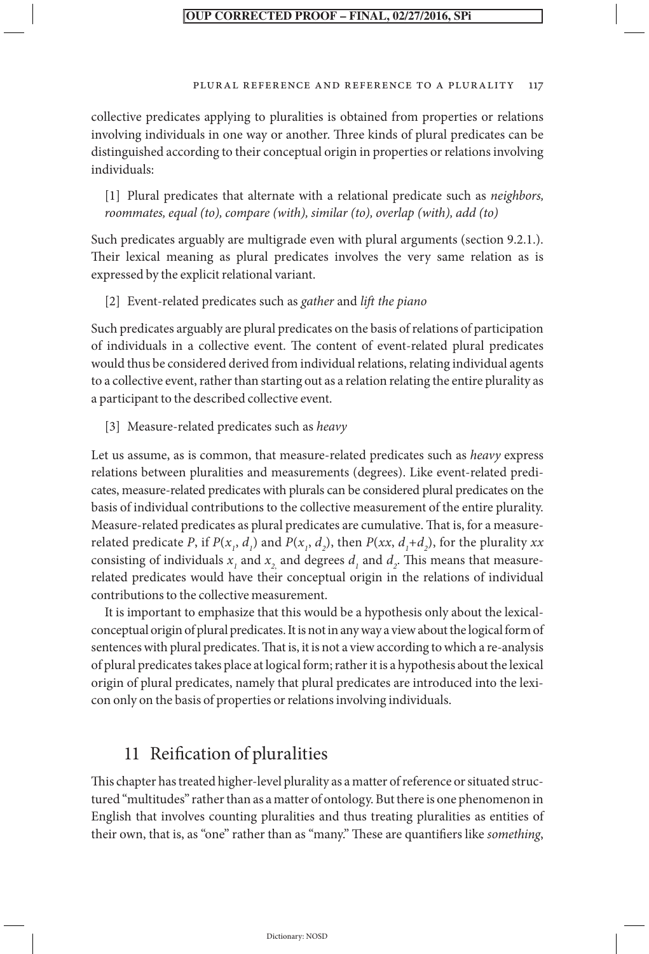#### plural reference and reference to a plurality 117

collective predicates applying to pluralities is obtained from properties or relations involving individuals in one way or another. Three kinds of plural predicates can be distinguished according to their conceptual origin in properties or relations involving individuals:

[1] Plural predicates that alternate with a relational predicate such as *neighbors, roommates, equal (to), compare (with), similar (to), overlap (with), add (to)*

Such predicates arguably are multigrade even with plural arguments (section 9.2.1.). Their lexical meaning as plural predicates involves the very same relation as is expressed by the explicit relational variant.

### [2] Event-related predicates such as *gather* and *lift the piano*

Such predicates arguably are plural predicates on the basis of relations of participation of individuals in a collective event. The content of event-related plural predicates would thus be considered derived from individual relations, relating individual agents to a collective event, rather than starting out as a relation relating the entire plurality as a participant to the described collective event.

[3] Measure-related predicates such as *heavy*

Let us assume, as is common, that measure-related predicates such as *heavy* express relations between pluralities and measurements (degrees). Like event-related predicates, measure-related predicates with plurals can be considered plural predicates on the basis of individual contributions to the collective measurement of the entire plurality. Measure-related predicates as plural predicates are cumulative. That is, for a measurerelated predicate *P*, if  $P(x_i, d_i)$  and  $P(x_i, d_i)$ , then  $P(xx, d_i+d_i)$ , for the plurality  $xx$ consisting of individuals  $x_{i}$  and  $x_{2}$  and degrees  $d_{i}$  and  $d_{i}$ . This means that measurerelated predicates would have their conceptual origin in the relations of individual contributions to the collective measurement.

It is important to emphasize that this would be a hypothesis only about the lexicalconceptual origin of plural predicates. It is not in any way a view about the logical form of sentences with plural predicates. That is, it is not a view according to which a re-analysis of plural predicates takes place at logical form; rather it is a hypothesis about the lexical origin of plural predicates, namely that plural predicates are introduced into the lexicon only on the basis of properties or relations involving individuals.

# 11 Reification of pluralities

This chapter has treated higher-level plurality as a matter of reference or situated structured "multitudes" rather than as a matter of ontology. But there is one phenomenon in English that involves counting pluralities and thus treating pluralities as entities of their own, that is, as "one" rather than as "many." These are quantifiers like *something*,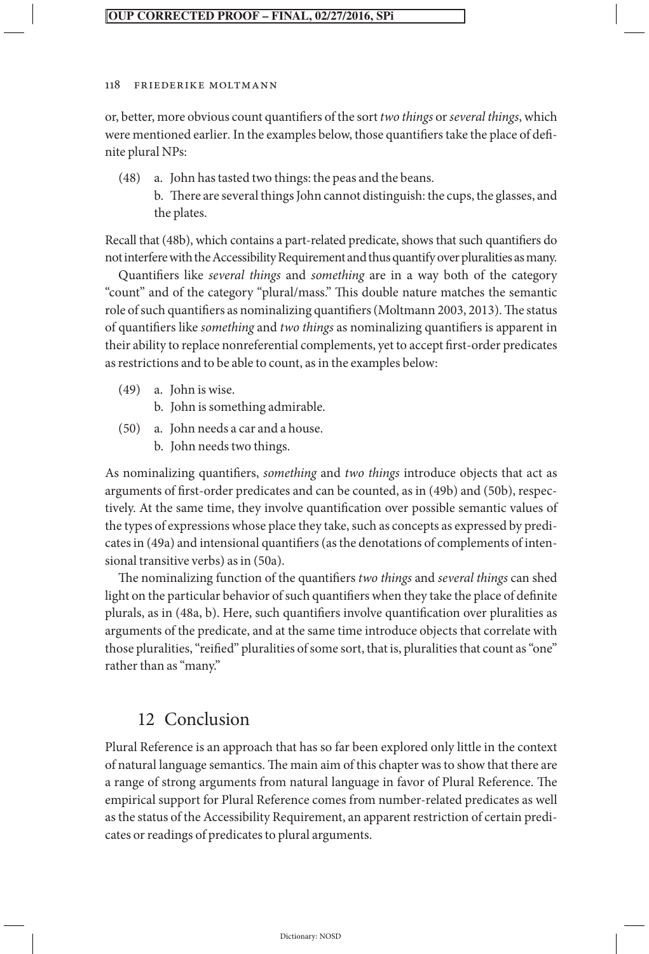#### 118 Friederike Moltmann

or, better, more obvious count quantifiers of the sort *two things* or *several things*, which were mentioned earlier*.* In the examples below, those quantifiers take the place of definite plural NPs:

(48) a. John has tasted two things: the peas and the beans. b. There are several things John cannot distinguish: the cups, the glasses, and the plates.

Recall that (48b), which contains a part-related predicate, shows that such quantifiers do not interfere with the Accessibility Requirement and thus quantify over pluralities as many.

Quantifiers like *several things* and *something* are in a way both of the category "count" and of the category "plural/mass." This double nature matches the semantic role of such quantifiers as nominalizing quantifiers (Moltmann 2003, 2013). The status of quantifiers like *something* and *two things* as nominalizing quantifiers is apparent in their ability to replace nonreferential complements, yet to accept first-order predicates as restrictions and to be able to count, as in the examples below:

- (49) a. John is wise.
	- b. John is something admirable.
- (50) a. John needs a car and a house.
	- b. John needs two things.

As nominalizing quantifiers, *something* and *two things* introduce objects that act as arguments of first-order predicates and can be counted, as in (49b) and (50b), respectively. At the same time, they involve quantification over possible semantic values of the types of expressions whose place they take, such as concepts as expressed by predicates in (49a) and intensional quantifiers (as the denotations of complements of intensional transitive verbs) as in (50a).

The nominalizing function of the quantifiers *two things* and *several things* can shed light on the particular behavior of such quantifiers when they take the place of definite plurals, as in (48a, b). Here, such quantifiers involve quantification over pluralities as arguments of the predicate, and at the same time introduce objects that correlate with those pluralities, "reified" pluralities of some sort, that is, pluralities that count as "one" rather than as "many."

# 12 Conclusion

Plural Reference is an approach that has so far been explored only little in the context of natural language semantics. The main aim of this chapter was to show that there are a range of strong arguments from natural language in favor of Plural Reference. The empirical support for Plural Reference comes from number-related predicates as well as the status of the Accessibility Requirement, an apparent restriction of certain predicates or readings of predicates to plural arguments.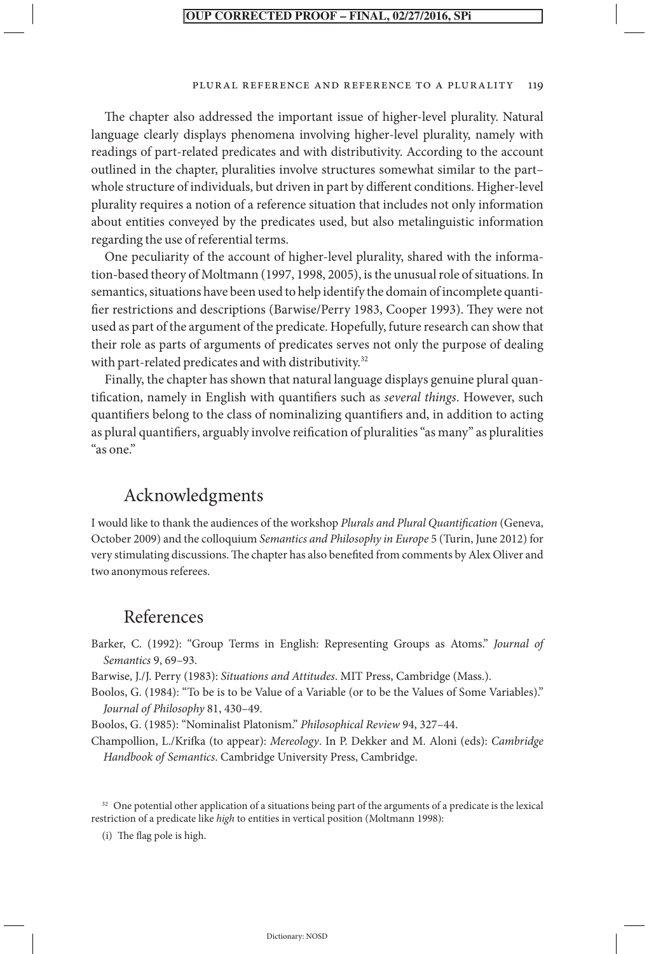#### plural reference and reference to a plurality 119

The chapter also addressed the important issue of higher-level plurality. Natural language clearly displays phenomena involving higher-level plurality, namely with readings of part-related predicates and with distributivity. According to the account outlined in the chapter, pluralities involve structures somewhat similar to the part– whole structure of individuals, but driven in part by different conditions. Higher-level plurality requires a notion of a reference situation that includes not only information about entities conveyed by the predicates used, but also metalinguistic information regarding the use of referential terms.

One peculiarity of the account of higher-level plurality, shared with the information-based theory of Moltmann (1997, 1998, 2005), is the unusual role of situations. In semantics, situations have been used to help identify the domain of incomplete quantifier restrictions and descriptions (Barwise/Perry 1983, Cooper 1993). They were not used as part of the argument of the predicate. Hopefully, future research can show that their role as parts of arguments of predicates serves not only the purpose of dealing with part-related predicates and with distributivity.<sup>32</sup>

Finally, the chapter has shown that natural language displays genuine plural quantification, namely in English with quantifiers such as *several things*. However, such quantifiers belong to the class of nominalizing quantifiers and, in addition to acting as plural quantifiers, arguably involve reification of pluralities "as many" as pluralities "as one."

# Acknowledgments

I would like to thank the audiences of the workshop *Plurals and Plural Quantification* (Geneva, October 2009) and the colloquium *Semantics and Philosophy in Europe* 5 (Turin, June 2012) for very stimulating discussions. The chapter has also benefited from comments by Alex Oliver and two anonymous referees.

# References

Barker, C. (1992): "Group Terms in English: Representing Groups as Atoms." *Journal of Semantics* 9, 69–93.

Barwise, J./J. Perry (1983): *Situations and Attitudes*. MIT Press, Cambridge (Mass.).

Boolos, G. (1984): "To be is to be Value of a Variable (or to be the Values of Some Variables)." *Journal of Philosophy* 81, 430–49.

Boolos, G. (1985): "Nominalist Platonism." *Philosophical Review* 94, 327–44.

Champollion, L./Krifka (to appear): *Mereology*. In P. Dekker and M. Aloni (eds): *Cambridge Handbook of Semantics*. Cambridge University Press, Cambridge.

<sup>32</sup> One potential other application of a situations being part of the arguments of a predicate is the lexical restriction of a predicate like *high* to entities in vertical position (Moltmann 1998):

(i) The flag pole is high.